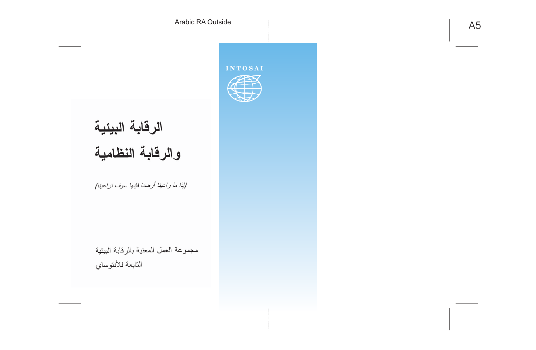# الرقابة البيئية والرقابة النظامية

#### (إذا ما راعينا أرضنا فإنها سوف تراعينا)

مجموعة العمل المعنية بالرقابة البيئية التابعة للأنتوساي

#### **INTOSAI**

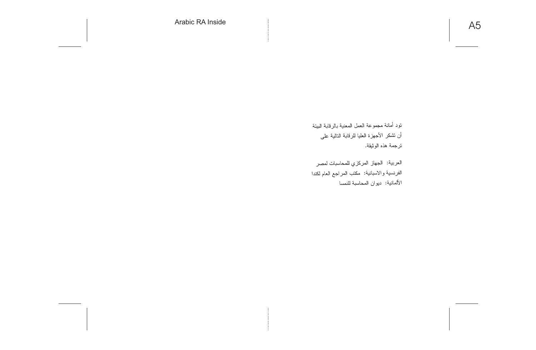تود أمانة مجموعة العمل المعنية بالرقابة البيئة أن نشكر الأجهزة العليا للرقابة النالية على ترجمة هذه الوثيقة.

العربية: الجهاز المركزي للمحاسبات لمصر الفرنسية والاسبانية: مكتب المراجع العام لكندا الألمانية: ديوان المحاسبة للنمسا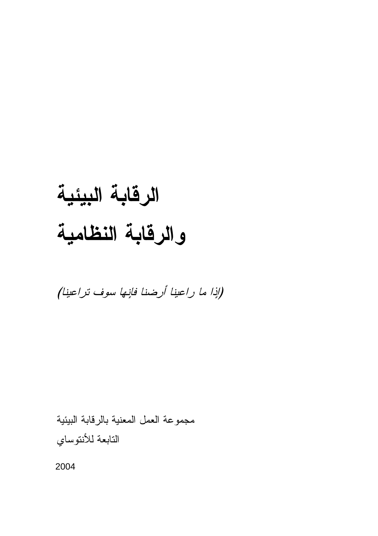### الرقابة البيئية والرقابة النظامية

(إذا ما راعينا أرضنا فانِها سوف تراعينا)

مجموعة العمل المعنية بالرقابة البيئية التابعة للأنتوساي

2004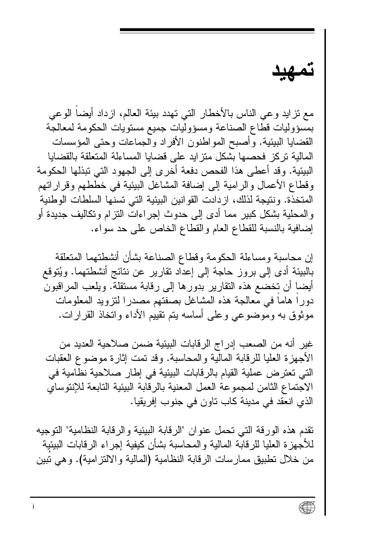مع نز ايد و عي الناس بالأخطار التي تهدد بيئة العالم، از داد أيضاً الو عي بمسؤوليات قطاع الصناعة ومسؤوليات جميع مستويات الحكومة لمعالجة القضايا البيئية. وأصبح المواطنون الأفراد والجماعات وحتى المؤسسات المالية تركز فحصبها بشكل منزايد على قضايا المساءلة المتعلقة بالقضايا البيئية. وقد أعطي هذا الفحص دفعة أخر ي إلى الجهود التي تبذلها الحكومة وفطاع الأعمال والرامية إلى إضافة المشاغل البيئية في خططهم وفرار اتهم المتخذة. ونتيجة لذلك، از دادت القو انين البيئية التي تسنها السلطات الوطنية و المحلية بشكل كبير مما أدى إلى حدوث إجر اءات النز ام وتكاليف جديدة أو إضافية بالنسبة للقطاع العام والقطاع الخاص على حد سواء.

إن محاسبة ومساءلة الحكومة وقطاع الصناعة بشأن أنشطتهما المتعلقة بالبيئة أدى إلى بروز حاجة إلى إعداد نقارير عن نتائج أنشطتهما. ويُتوقع أيضا أن تخضع هذه النقارير بدورها إلى رقابة مستقلة. ويلعب المراقبون دورا هاما في معالجة هذه المشاغل بصفتهم مصدرا لتزويد المعلومات موثوق به وموضوعي وعلى أساسه يتم تقييم الأداء واتخاذ القرارات.

غير أنه من الصعب إدراج الرقابات البيئية ضمن صلاحية العديد من الأجهزة العليا للرقابة المالية والمحاسبة. وقد تمت إثارة موضوع العقبات التي تعترض عملية القيام بالرقابات البيئية في إطار صلاحية نظامية في الاجتماع الثامن لمجموعة العمل المعنية بالرقابة البيئية التابعة للإنتوساي الذي انعقد في مدينة كاب تاون في جنوب إفريقيا.

نقدم هذه الورقة التي نحمل عنوان "الرقابة البيئية والرقابة النظامية" التوجيه للأجهز ة العليا للر قابة المالية و المحاسبة بشأن كيفية إجر اء الر قابات البيئية من خلال تطبيق ممارسات الرقابة النظامية (المالية والالتز امية). وهي تبين

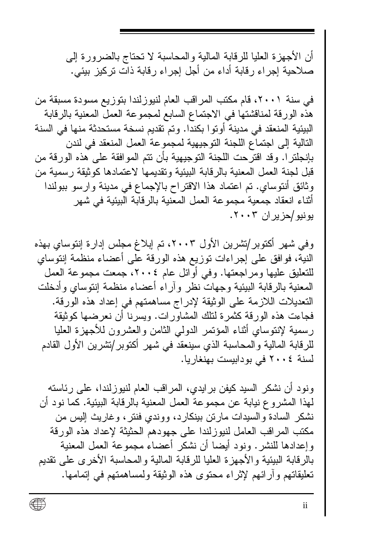أن الأجهز ة العليا للر قابة المالية و المحاسبة لا تحتاج بالضرورة إلى صلاحية إجراء رقابة أداء من أجل إجراء رقابة ذات تركيز بيئي.

في سنة ٢٠٠١، قام مكتب المراقب العام لنيوزلندا بتوزيع مسودة مسبقة من هذه الورقة لمناقشتها في الاجتماع السابع لمجموعة العمل المعنية بالرقابة البيئية المنعقد في مدينة أوتوا بكندا. وتم تقديم نسخة مستحدثة منها في السنة التالية إلى اجتماع اللجنة التوجيهية لمجموعة العمل المنعقد في لندن بإنجلتر ا. وقد اقترحت اللجنة التوجيهية بأن نتم الموافقة على هذه الورقة من قبل لجنة العمل المعنية بالر قابة البيئية وتقديمها لاعتمادها كوثيقة ر سمية من وثائق أنتوساي. تم اعتماد هذا الاقتراح بالإجماع في مدينة وارسو ببولندا أثناء انعقاد جمعية مجموعة العمل المعنية بالرفابة البيئية في شهر يونيو /حزيران ٢٠٠٣.

وفي شهر أكتوبر/تشرين الأول ٢٠٠٣، تم إبلاغ مجلس إدارة إنتوساي بهذه النية، فوافق على إجراءات توزيع هذه الورقة على أعضاء منظمة إنتوساي للنعليق عليها ومراجعتها. وفي أوائل عام ٢٠٠٤، جمعت مجموعة العمل المعنية بالرقابة البيئية وجهات نظر وأراء أعضاء منظمة إنتوساى وأدخلت التعديلات اللازمة على الوثيقة لإدراج مساهمتهم في إعداد هذه الورقة. فجاءت هذه الورقة كثمرة لنلك المشاورات. ويسرنا أن نعرضها كوثيقة رسمية لإنتوساي أثناء المؤنمر الدولمي الثامن والعشرون للأجهزة العليا للرقابة المالية والمحاسبة الذي سينعقد في شهر أكتوبر/تشرين الأول القادم لسنة ٢٠٠٤ في بودابيست بهنغاريا.

ونود أن نشكر السيد كيفن بر ايدي، المر اقب العام لنيوز لندا، على ر ئاسته لمهذا المشروع نيابة عن مجموعة العمل المعنية بالرقابة البيئية. كما نود أن نشكر السادة والسيدات مارتن بينكارد، ووندي فنتر، وغاريث إليس من مكتب المراقب العامل لنبوزلندا على جهودهم الحثيثة لإعداد هذه الورقة وإعدادها للنشر . ونود أيضا أن نشكر أعضاء مجموعة العمل المعنية بالرقابة البيئية والأجهزة العليا للرقابة المالية والمحاسبة الأخرى على نقديم تعليقاتهم و آر ائهم لإثر اء محتوى هذه الوثيقة ولمساهمتهم في إتمامها.

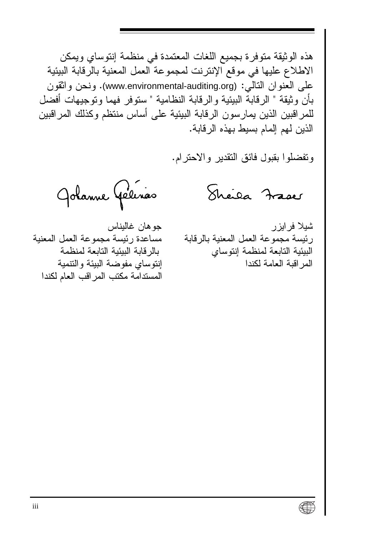هذه الوثيقة متوفر ة بجميع اللغات المعتمدة في منظمة إنتوساي و يمكن الاطلاع عليها في موقع الإنترنت لمجموعة العمل المعنية بالرقابة البيئية علَّمِ الْعِنْوِ انِ النَّالِّيِ : (www.environmental-auditing.org). ونحن واثقون بأن و ثبقة " الر قابة البيئية و الر قابة النظامية " ستو فر فهما و تو جيهات أفضل للمر اقبين الذين يمارسون الرقابة البيئية على أساس منتظم وكذلك المر اقبين الذين لهم إلمام بسيط بهذه الر قابة.

ونفضلوا بقبول فائق النقدير والاحترام.

Sheila Fraces

Jolanne Gélinas

شيلا فر ايز ر رئيسة مجموعة العمل المعنية بالرقابة البيئية التابعة لمنظمة إنتوساي المر اقبة العامة لكندا

جو هان غاليناس مساعدة رئيسة مجموعة العمل المعنية بالر قابة الببئبة التابعة لمنظمة إنتوساى مفوضة البيئة والتتمية المستدامة مكتب المر اقب العام لكندا

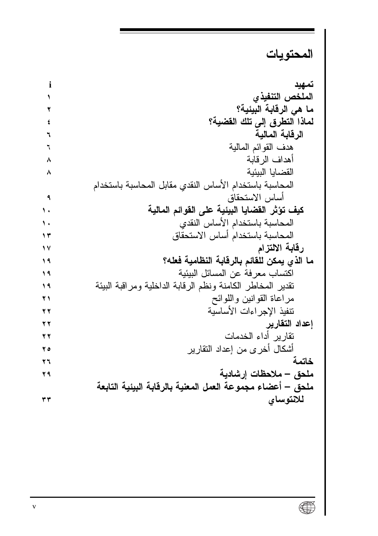### المحتويات

| i   | تمهيد                                                      |
|-----|------------------------------------------------------------|
| ١   | الملخص التنفيذي                                            |
| ۲   | ما هي الرقابة البيئية؟                                     |
| ٤   | لماذا التطرق إلى تلك القضية؟                               |
| ٦   | الرقابة المالية                                            |
| ٦   | هدف القوائم المالية                                        |
| ٨   | أهداف الرقابة                                              |
| ۸   | القضايا البيئية                                            |
|     | المحاسبة باستخدام الأساس النقدي مقابل المحاسبة باستخدام    |
| ٩   | أساس الاستحقاق                                             |
| ١.  | كيف تؤثر الفضايا البيئية على الفوائم المالية               |
| ١.  | المحاسبة باستخدام الأساس النقدى                            |
| ۱۳  | المحاسبة باستخدام أساس الاستحقاق                           |
| ١٧  | رقابة الالتزام                                             |
| ۱۹  | ما الذي يمكن للقائم بالرقابة النظامية فعله؟                |
| ۱۹  | اكتساب معرفة عن المسائل البيئية                            |
| ۱۹  | نقدير المخاطر الكامنة ونظم الرقابة الداخلية ومراقبة البيئة |
| ۲١  | مراعاة القوانين واللوائح                                   |
| ۲۲  | نتفيذ الإجراءات الأساسية                                   |
| ۲۲  | إعداد التقارير                                             |
| ۲۲  | تقارير أداء الخدمات                                        |
| ه ۲ | أشكال أخرى من إعداد النقارير                               |
| ۲٦  | خاتمة                                                      |
| ۲۹  | ملحق – ملاحظات إرشادية                                     |
|     | ملحق – أعضاء مجموعة العمل المعنية بالرقابة البيئية التابعة |
| ۳۳  | للاتوساى                                                   |
|     |                                                            |

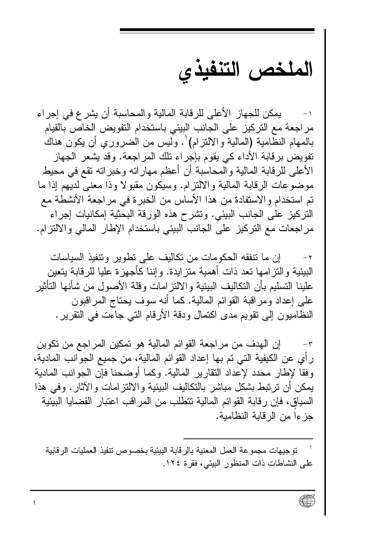الملخص التنفيذي

بمكن للجهاز الأعلى للرقابة المالية و المحاسبة أن يشر ع في إجراء مر اجعة مع التركيز على الجانب البيئي باستخدام التفويض الخاص بالقيام بالمهام النظامية (المالية والالتزام) . وليس من الضروري أن يكون هناك تفويض بر قابة الأداء كي يقوم بإجر اء تلك المر اجعة. وقد يشعر الجهاز الأعلى للر قابة المالية و المحاسبة أن أعظم مهار اته وخبر اته تقع في محبط موضوعات الرقابة المالية والالتزام. وسيكون مقبولا وذا معنى لديهم إذا ما تم استخدام والاستفادة من هذا الأساس من الخبرة في مر اجعة الأنشطة مع النركيز على الجانب البيئي. ونشرح هذه الورقة البحثية إمكانيات إجر اء مر اجعات مع النر كيز ً على الجانب البيئي باستخدام الإطار المالي و الالتز ام.

إن ما نتفقه الحكومات من تكاليف على تطوير وتتفيذ السياسات  $-\tau$ البيئية و النز امـها نـعد ذات أهمية منز ايدة. و إننا كأجـهز ة عليا للر قابـة ينعين علينا التسليم بأن التكاليف البيئية و الالتز امات وقلة الأصول من شأنها التأثير علمي إعداد ومراقبة القوائم المالية. كما أنه سوف بحتاج المراقبون النظاميون إلى نقويم مدى اكتمال ودقة الأرقام التي جاءت في النقرير .

إن المهدف من مراجعة القوائم المالية هو تمكين المراجع من تكوين  $-\tau$ رِ أي عن الكيفية التي تم بها إعداد القوائم المالية، من جميع الجوانب المادية، و فقا لإطار محدد لإعداد النقار بر المالية. وكما أو ضحنا فإن الجو انب المادية بِمكن أن نرتبط بشكل مباشر بالنكاليف البيئية والالتز امات والآثار . وفي هذا السياق، فإن رقابة القوائم المالية تتطلب من المر اقب اعتبار القضايا البيئية جز ءا من الر قابة النظامية.

تو جيهات مجمو عة العمل المعنية بالر قابة البيئية بخصوص تنفيذ العمليات الر قابية على النشاطات ذات المنظور البيئي، فقرة ١٢٤.

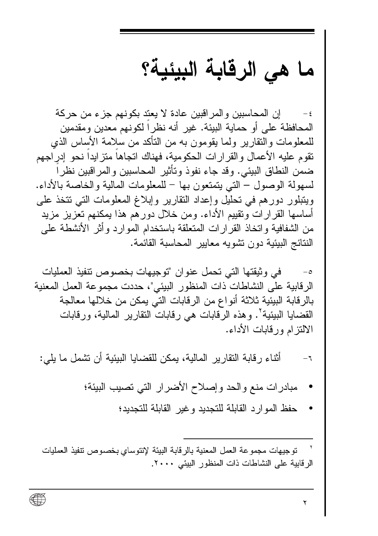### ما هي الرقابة البيئية؟

إن المحاسبين والمر اقبين عادة لا يعتد بكونهم جزء من حركة المحافظة على أو حماية البيئة. غير أنه نظر أ لكونهم معدين ومقدمين للمعلومات والنقارير ولما بقومون به من الناكد من سلامة الأساس الذي تقو م عليه الأعمال و القر ار ات الحكو مية، فهناك اتجاهاً متز ابداً نحو ادر اجهم ضمن النطاق البيئي. وقد جاء نفوذ وتأثير المحاسبين والمر اقبين نظر اً لسهولة الوصول – التي يتمتعون بها – للمعلومات المالية والخاصة بالأداء. ويتبلور دورهم في تحليل وإعداد النقارير وإبلاغ المعلومات التي تتخذ على أساسها القرارات ونقييع الأداء. ومن خلال دورهم هذا يمكنهم تعزيز مزيد من الشفافية و اتخاذ القر ار ات المتعلقة باستخدام المو ار د و أثر الأنشطة على النتائج البيئية دون تشويه معايير المحاسبة القائمة.

في وثيقتها التي تحمل عنوان "توجيهات بخصوص تنفيذ العمليات  $-\circ$ الرقابية على النشاطات ذات المنظور البيئي"، حددت مجموعة العمل المعنية بالرِ قابة البيئية ثلاثة أنو اع من الرِ قابات التي يمكن من خلالها معالجة القضايا البيئية<sup>٢</sup>. وهذه الرقابات هي رقابات التقارير المالية، ورقابات الالتز امرور قابات الأداء.

أثناء ر قابة النقار ير المالية، يمكن للقضايا البيئية أن نشمل ما يلي:  $-1$ 

- مبادرات منع والحد وإصلاح الأضرار التي تصيب البيئة؛
	- حفظ الموارد القابلة للتجديد وغير القابلة للتجديد؛

توجيهات مجموعة العمل المعنية بالرقابة البيئة لإنتوساي بخصوص تنفيذ العمليات الرقابية على النشاطات ذات المنظور البيئي ٢٠٠٠.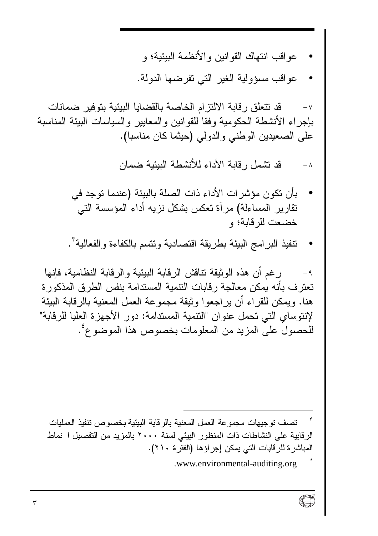- عو اقب انتهاك القو انين و الأنظمة البيئية؛ و
- عو اقبٍ مسوَّ ولية الغير التي تفر ضبها الدولة.

قد تتعلَّق ر قابة الالتز ام الخاصة بالقضايا البيئية بتوفير ضمانات  $-\vee$ بإجر اء الأنشطة الحكومية وفقا للقو انين و المعايير و السياسات البيئة المناسبة على الصعيدين الوطني والدولي (حيثما كان مناسبا).

> قد تشمل ر قابة الأداء للأنشطة الببئبة ضمان  $-\lambda$

- بأن نكون مؤشر ات الأداء ذات الصلة بالبيئة (عندما توجد في تقار بر المساءلة) مر آة تعكس بشكل نز به أداء المؤسسة التي خضعت للر قابة؛ و
- تنفيذ البر امج البيئة بطريقة اقتصادية ونتسم بالكفاءة والفعالية".

ر غم أن هذه الو ثبقة تتاقش الر قابة البيئية و الر قابة النظامية، فانها  $-9$ تعتر ف بأنه يمكن معالجة رقابات التتمية المستدامة بنفس الطرق المذكورة هنا. وبمكن للقر اء أن بر اجعوا و ثبقة مجموعة العمل المعنبة بالر قابة الببئة لإنتوساي التي تحمل عنوان "التنمية المستدامة: دور الأجهزة العليا للرقابة" للحصول على المزيد من المعلومات بخصوص هذا الموضوعُ .

تصف توجيهات مجموعة العمل المعنية بالرقابة البيئية بخصوص نتفيذ العمليات الرقابية على النشاطات ذات المنظور البيئي لسنة ٢٠٠٠ بالمزيد من التفصيل ا نماط المباشر ة للر قابات التي يمكن إجر اؤ ها (الفقر ة ٢١٠).

<sup>.</sup>www.environmental-auditing.org

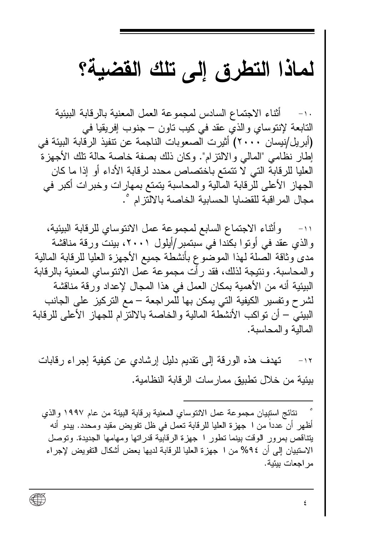### لماذا التطرق إلى تلك القضية؟

أثناء الاجتماع السادس لمجمو عة العمل المعنية بالر قابة البيئية  $-1$ . التابعة لإنتوساي والذي عقد في كيب تاون – جنوب إفريقيا في (أبريل/نيسان ٢٠٠٠) أَثيرت الصعوبات الناجمة عن نتفيذ الرقابة البيئة في إطار نظامي "المالي والالتزام". وكان ذلك بصفة خاصة حالة تلك الأجهز ة العليا للر قابة التي لا تتمتع باختصاص محدد لر قابة الأداء أو إذا ما كان الجهاز الأعلى للرقابة المالية والمحاسبة يتمتع بمهارات وخبرات أكبر في مجال المر اقبة للقضايا الحسابية الخاصة بالالتز ام °.

١١- وأثناء الاجتماع السابع لمجموعة عمل الانتوساي للرقابة البيئية، و الذي عقد في أو تو ا بكندا في سبتمبر /أيلو ل ٢٠٠١، بينت ور قة مناقشة مدى وثاقة الصلة لهذا الموضوع بأنشطة جميع الأجهزة العليا للرقابة المالية و المحاسبة. و نتيجة لذلك، فقد ر أت مجمو عة عمل الانتوساي المعنية بالر قابة البيئية أنه من الأهمية بمكان العمل في هذا المجال لإعداد ور فة مناقشة لشرح وتفسير الكيفية التي يمكن بها للمراجعة – مع التركيز على الجانب البيئي – أن نو اكب الأنشطة المالية و الخاصة بالالتز ام للجهاز الأعلى للر قابة المالبة والمحاسبة.

تهدف هذه الور قة إلى تقديم دليل إرشادي عن كيفية إجر اء ر قابات  $-11$ بِيئِية من خلال تطبيق ممارسات الرقابة النظامية.

نتائج استبيان مجموعة عمل الانتوساي المعنية بر قابة البيئة من عام ١٩٩٧ والذي أظهر أن عدداً من ا جهزة العليا للرقابة تعمل في ظل تفويض مقيد ومحدد. يبدو أنه يتناقص بمرور الوقت بينما نطور ا جهزة الرقابية قدراتها ومهامها الجديدة. ونوصل الاستبيان إلى أن ٩٤% من ١ جهز ة العليا للر قابة لديها بعض أشكال التفويض لإجر اء مر اجعات بيئية .

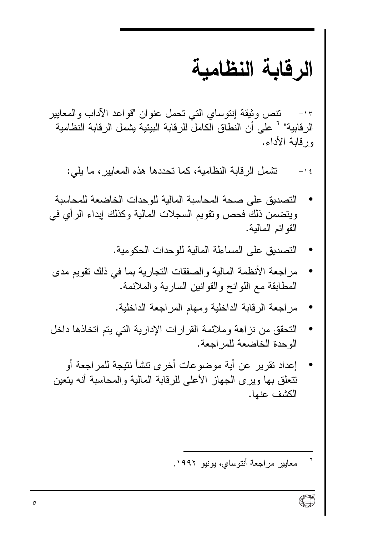### الرقابة النظامبة

تنص وثيقة إنتوساي التي تحمل عنوان "قواعد الآداب والمعابير  $-11$ الر قابية" ` على أن النطاق الكامل للرقابة البيئية يشمل الرقابة النظامية ور قابة الأداء.

تشمل الرقابة النظامية، كما تحددها هذه المعابير ، ما يلي:  $-1$  {

- التصديق على صحة المحاسبة المالبة للوحدات الخاضعة للمحاسبة ويتضمن ذلك فحص وتقويم السجلات المالية وكذلك إبداء الرأى في القو ائم المالية.
	- التصديق على المساءلة المالية للوحدات الحكومية.
- مر اجعة الأنظمة المالية والصفقات النجار ية بما في ذلك نقويم مدى المطابقة مع اللوائح والقوانين السارية والملائمة.
	- مر اجعة الر قابة الداخلية ومهام المر اجعة الداخلية.
- النحقق من نزاهة وملائمة القرارات الإدارية التي يتم اتخاذها داخل الوحدة الخاضعة للمر اجعة.
- إعداد نقرير عن أية موضوعات أخرى تنشأ نتيجة للمراجعة أو تتعلَّق بها وير ي الجهاز الأعلى للر قابة المالية و المحاسبة أنه يتعين الكشف عنما.

معابير مراجعة أنتوساي، بونيو ١٩٩٢.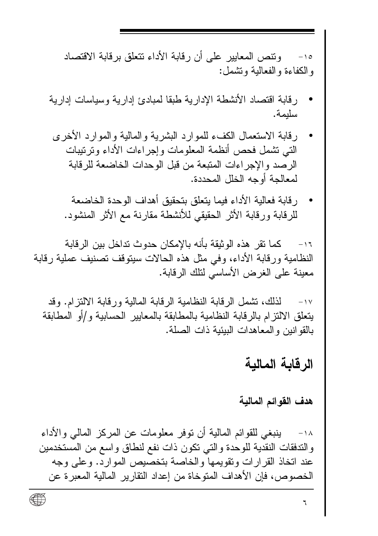وتتص المعابير على أن رقابة الأداء تتعلق برقابة الاقتصاد  $-10$ والكفاءة والفعالية وتشمل:

- ر قابة اقتصاد الأنشطة الادارية طبقا لمبادئ إدارية وسياسات إدارية سليمة.
- ر قابة الاستعمال الكفء للموارد البشرية والمالية والموارد الأخرى التي تشمل فحص أنظمة المعلومات وإجر اءات الأداء وتر تيبات الر صد و الإجر اءات المتبعة من قبل الو حدات الخاضعة للر قابة لمعالجة أوجه الخلل المحددة.
	- رقابة فعالية الأداء فيما يتعلق بتحقيق أهداف الوحدة الخاضعة للر قابة ور قابة الأثر الحقيقي للأنشطة مقار نـة مـع الأثر المنشود.

كما نقر هذه الوثيقة بأنه بالإمكان حدوث تداخل بين الرقابة  $-11$ النظامية ورقابة الأداء، وفي مثل هذه الحالات سيتوقف تصنيف عملية رقابة معبنة على الغرض الأساسى لتلك الرقابة.

لذلك، تشمل الرِّ قابة النظامية الرِّ قابة المالية ورِّ قابة الألِّتز ام. وقد  $\rightarrow$   $\sqrt{ }$ يتعلق الالتزام بالرقابة النظامية بالمطابقة بالمعايير الحسابية و/أو المطابقة بالقو انين و المعاهدات البيئية ذات الصلة.

#### الر قابة المالبة

#### هدف القوائم المالية

ينبغي للقوائم المالية أن توفر معلومات عن المركز المالي والأداء  $-1\Lambda$ و التدفقات النقدية للو حدة و التي تكون ذات نفع لنطاق و اسع من المستخدمين عند اتخاذ القرارات ونقويمها والخاصة بتخصيص الموارد. وعلى وجه الخصوص، فإن الأهداف المتوخاة من إعداد التقارير المالية المعبر ة عن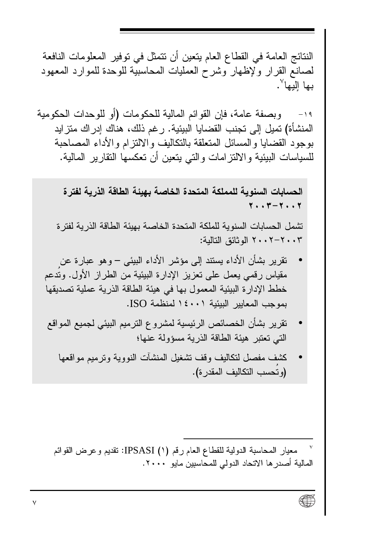النتائج العامة في القطاع العام يتعين أن نتمثل في توفير المعلومات النافعة لصانع القرار ولإظهار وشرح العمليات المحاسبية للوحدة للموارد المعهود ىها اليها<sup>"</sup>.

وبصفة عامة، فإن القوائم المالية للحكومات (أو للوحدات الحكومية  $-19$ المنشأة) تميل إلى تجنب القضبايا البيئية. ر غم ذلك، هناك إدر اك متز ايد بوجود القضايا والمسائل المتعلقة بالتكاليف والالتز ام والأداء المصاحبة للسياسات البيئية والالتزامات والتى يتعين أن تعكسها النقارير المالية.

الحسابات السنوية للمملكة المتحدة الخاصة بهبئة الطاقة الذرية لفتر ة  $Y \cdot Y - Y \cdot Y$ 

تشمل الحسابات السنوية للملكة المتحدة الخاصة بهيئة الطاقة الذرية لفتر ة ٢٠٠٢ - ٢٠٠٢ الوثائق التالية:

- تقرير بشأن الأداء يستند إلى مؤشر الأداء البيئي وهو عبارة عن مقياس رقمي يعمل على نعزيز الإدارة البيئية من الطراز الأول. وندعم خطط الإدار ة البيئية المعمول بها في هيئة الطاقة الذرية عملية تصديقها بموجب المعابير البيئية ١٤٠٠١ لمنظمة ISO.
- تقرير بشأن الخصائص الرئيسية لمشر وع النر ميم البيئي لجميع المواقع التي تعتبر هيئة الطاقة الذرية مسؤولة عنها؛
	- كشف مفصل لنكاليف وقف تشغيل المنشآت النووية ونرميع مواقعها (وتُحسب التكاليف المقدر ة).

معيار المحاسبة الدولية للقطاع العام رقم (١) IPSASI: نقديم و عرض القوائم المالية أصدر ها الاتحاد الدولى للمحاسبين مايو ٢٠٠٠.

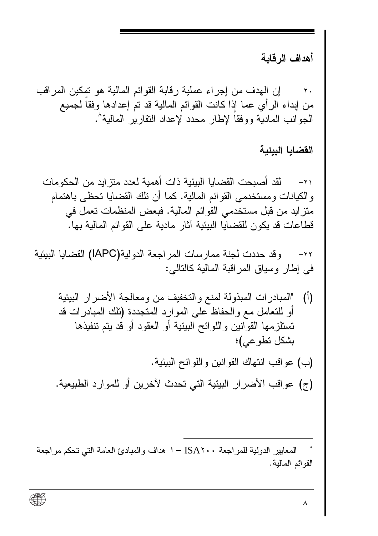أهداف الرقابة

ان الهدف من اجر اء عملية رقابة القوائم المالية هو تمكين المر اقب  $-\mathbf{Y}$ . من إبداء الرأى عما إذا كانت القوائم المالية قد تم إعدادها وفقا لجميع الجوانب المادية ووفقا لإطار محدد لإعداد النقار بر المالية^.

القضايا البيئية

٨

لقد أصبحت القضابا الببئبة ذات أهمبة لعدد منز ابد من الحكومات  $-\lambda$ و الكيانات و مستخدمي القو ائم المالية. كما أن تلك القضايا تحظى باهتمام متزايد من قبل مستخدمي القوائم المالية. فبعض المنظمات تعمل في قطاعات قد يكون للقضايا البيئية آثار ٍ مادية على القوائم المالية بها.

وقد حددت لجنة ممارسات المراجعة الدولية(IAPC) القضايا البيئية  $-\tau$ في إطار وسياق المر اقبة المالية كالتالي:

- "المبادر ات المبذولة لمنع والتخفيف من ومعالجة الأضر ار البيئية  $\sqrt{ }$ أو للتعامل مع و الحفاظ على المو ار د المتجددة (تلك المبادر ات قد تستلزمها القوانين واللوائح البيئية أو العقود أو قد يتم تنفيذها بشكل تطوعي)؛
- (ب) عواقب انتهاك القوانين واللوائح البيئية. (ج) عواقب الأضرار البيئية التي تحدث لآخرين أو للموارد الطبيعية.

المعابير الدولية للمر اجعة ISA۲۰۰ - ا هداف والمبادئ العامة التي تحكم مراجعة القوائم المالية.

∰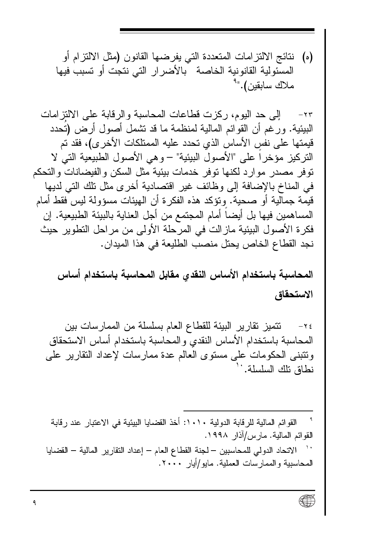(ه) نتائج الالتز امات المتعددة التي يفر ضـها القانون (مثل الالتز ام أو المسئولية القانونية الخاصة بالأضرار التي نتجت أو تسبب فيها ملاك سابقين)."<sup>۹</sup>

٢٣- إلى حد اليوم، ركزت فطاعات المحاسبة و الرفابة على الالتز امات البيئية. ور غم أن القوائم المالية لمنظمة ما قد نشمل أصول أر ض (تُحدد قيمتها على نفس الأساس الذي تحدد عليه الممتلكات الأخر ي)، فقد تم التركيز مؤخراً على "الأصول البيئية" – وهي الأصول الطبيعية التي لا توفر مصدر موار د لكنها توفر خدمات بيئية مثل السكن والفيضانات والتحكم في المناخ بالإضافة إلى وظائف غير اقتصادية أخرى مثل نلك التي لديها قيمة جمالية أو صحية. وتؤكد هذه الفكرة أن الهيئات مسؤولة ليس فقط أمام المساهمين فيها بل أيضاً أمام المجتمع من أجل العناية بالبيئة الطبيعية. إن فكرة الأصول البيئية مازالت في المرحلة الأولى من مراحل النطوير حيث نجد القطاع الخاص يحتل منصب الطليعة في هذا الميدان.

المحاسبة باستخدام الأساس النقدي مقابل المحاسبة باستخدام أساس الاستحقاق

تتميز تقارير البيئة للقطاع العام بسلسلة من الممارسات بين  $-\tau$ المحاسبة باستخدام الأساس النقدى والمحاسبة باستخدام أساس الاستحقاق ونتبني الحكومات على مسنوى العالم عدة ممار سات لإعداد النقار بر على نطاق نلك السلسلة.''

القوائم المالية للرقابة الدولية ١٠١٠: أخذ القضايا البيئية في الاعتبار عند رقابة القوائم المالية. مارس/آذار ١٩٩٨.

الاتحاد الدولي للمحاسبين – لجنة القطاع العام – إعداد التقارير المالية – القضايا المحاسبية والممارسات العملية. مايو/أيار ٢٠٠٠.

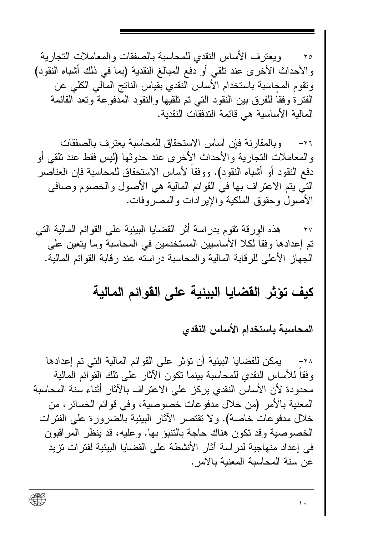ويعتر ف الأساس النقدي للمحاسبة بالصفقات و المعاملات التجار ية  $-\lambda$ والأحداث الأخرى عند نلقى أو دفع المبالغ النقدية (بما في ذلك أشباه النقود) ونقوم المحاسبة باستخدام الأساس النقدى بقياس الناتج المالي الكلي عن الفتر ة وفقا للفرق بين النقود التي تم تلقيها والنقود المدفوعة وتعد القائمة المالية الأساسية هي قائمة الندفقات النقدية.

و بالمقار نــة فـإن أسـاس الاستحقاق للمحـاسبـة يعتر ف بـالصـفقات  $-\gamma$  $\overline{\gamma}$ والمعاملات النجارية والأحداث الأخرى عند حدوثها (ليس فقط عند نلقى أو دفع النقود أو أشباه النقود). ووفقاً لأساس الاستحقاق للمحاسبة فإن العناصر التي بتم الاعتراف بها في القوائم المالية هي الأصول والخصوم وصافي الأصول وحقوق الملكية والإيرادات والمصروفات.

هذه الورقة تقوم بدراسة أثر القضايا البيئية على القوائم المالية التي  $-\mathbf{y}$ تم إعدادها وفقا لكلا الأساسيين المستخدمين في المحاسبة وما يتعين على الجهاز الأعلى للرقابة المالية والمحاسبة دراسته عند رقابة القوائم المالية.

#### كيف تؤثر القضايا البيئية على القوائم المالية

المحاسبة باستخدام الأساس النقدى

٢٨- بمكن للقضايا البيئية أن تؤثر على القوائم المالية التي تم إعدادها وفقا للأساس النقدى للمحاسبة ببنما نكون الآثار على نلك القوائم المالية محدودة لأن الأساس النقدي بركز على الاعتراف بالآثار أثناء سنة المحاسبة المعنية بالأمر (من خلال مدفو عات خصوصية، وفي قوائم الخسائر ، من خلال مدفو عات خاصة). و لا تقتصر الآثار البيئية بالضرور ة على الفتر ات الخصوصية وقد تكون هناك حاجة بالتنبؤ بها. وعليه، قد ينظر المراقبون في إعداد منهاجية لدر اسة آثار الأنشطة على القضايا البيئية لفتر ات تز يد عن سنة المحاسبة المعنية بالأمر .

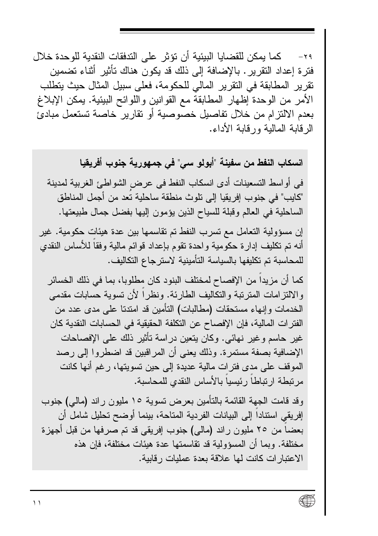كما بمكن للقضايا البيئية أن تؤثر ً على الندفقات النقدية للوحدة خلال  $-\gamma$  ۹ فترة إعداد التقرير . بالإضافة إلى ذلك قد بكون هناك تأثير أثناء تضمين تقر بر المطابقة في التقر بر المالي للحكو مة، فعلي سبيل المثال حيث يتطلب الأمر من الوحدة إظهار المطابقة مع القوانين واللوائح البيئية. يمكن الإبلاغ بعدم الالتزام من خلال تفاصيل خصوصية أو تقارير خاصة تستعمل مبادئ الر قابة المالبة ور قابة الأداء.

انسكاب النفط من سفينة "أبولو سي" في جمهورية جنوب أفريقيا في أواسط التسعينات أدى انسكاب النفط في عرض الشواطئ الغربية لمدينة "كايب" في جنوب إفريقيا إلى تلوث منطقة ساحلية تعد من أجمل المناطق الساحلية في العالم وقبلة للسياح الذين يؤمون إليها بفضل جمال طبيعتها.

إن مسؤولية التعامل مع تسر ب النفط تم تقاسمها بين عدة هيئات حكومية. غير أنه تم تكليف إدار ة حكومية و احدة تقوم بإعداد قو ائم مالية وفقا للأساس النقدي للمحاسبة تم تكليفها بالسياسة التأمينية لاسترجاع التكاليف.

كما أن مزيدا من الإفصاح لمختلف البنود كان مطلوبا، بما في ذلك الخسائر و الالتز إمات المتربِّبة و التكاليف الطاريَّة. ونظر أ لأن تسوية حسابات مقدمي الخدمات وإنهاء مستحقات (مطالبات) التأمين قد امتدتا على مدى عدد من الفتر ات المالية، فإن الإفصاح عن التكلفة الحقيقية في الحسابات النقدية كان غير حاسم وغير نهائي. وكان يتعين دراسة تأثير ذلك على الإفصاحات الإضافية بصفة مستمرة. وذلك يعني أن المراقبين قد اضطروا إلى رصد الموقف على مدى فتر ات مالية عديدة إلى حين تسويتها، رغم أنها كانت مرتبطة ارتباطاً رئيسيا بالأساس النقدي للمحاسبة.

وقد قامت الجهة القائمة بالتأمين بعرض تسوية ١٥ مليون راند (مالي) جنوب إفريقي استنادا إلى البيانات الفريبية المتاحة، بينما أوضح تحليل شامل أن بعضا من ٢٥ مليون راند (مالي) جنوب إفريقي قد تم صرفها من قبل أجهزة مختلفة. وبما أن المسؤولية قد تقاسمتها عدة هيئات مختلفة، فإن هذه الاعتبار ات كانت لمها علاقة بعدة عمليات ر قابية.

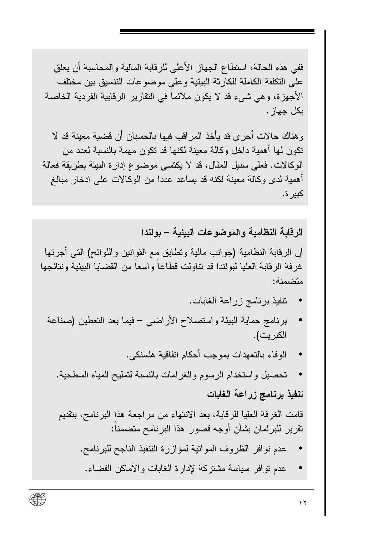ففي هذه الحالة، استطاع الجهاز الأعلى للرقابة المالية والمحاسبة أن يعلق على النكلفة الكاملة للكارثة البيئية وعلى موضوعات النتسيق بين مختلف الأجهز ة، و هي شيء قد لا يكون ملائما في النقار ير الر قابية الفر دية الخاصة بكل جهاز .

و هناك حالات أخر ي قد يأخذ المر اقب فيها بالحسبان أن قضية معينة قد لا تكون لها أهمية داخل وكالة معينة لكنها قد تكون مهمة بالنسبة لعدد من الوكالات. فعلي سبيل المثال، قد لا يكتسى موضوع إدار ة البيئة بطريقة فعالة أهمية لدى وكالة معينة لكنه قد يساعد عددا من الوكالات على ادخار مبالغ کېږ ة.

الر قابة النظامية و الموضوعات البيئية – بو لندا

إن الرقابة النظامية (جوانب مالية ونطابق مع القوانين واللوائح) التبي أجرتها غر فة الر قابة العليا لبولندا قد نتاولت قطاعا و اسعا من القضايا البيئية ونتائجها متضمنة:

- تنفيذ برنامج زراعة الغابات.
- برنامج حماية البيئة واستصلاح الأراضبي فيما بعد التعطين (صناعة الكبر يت).
	- الوفاء بالتعهدات بموجب أحكام اتفاقية هلسنكي.
	- تحصيل واستخدام الرسوم والغرامات بالنسبة لتمليح المياه السطحية.

تنفيذ برنامج زراعة الغابات

قامت الغرفة العليا للرقابة، بعد الانتهاء من مراجعة هذا البرنامج، بنقديم تقرير للبرلمان بشأن أوجه قصور هذا البرنامج متضمناً:

- عدم نوافر الظروف الموانية لمؤازرة التنفيذ الناجح للبرنامج.
- عدم نوافر سياسة مشتركة لإدارة الغابات والأماكن الفضاء.

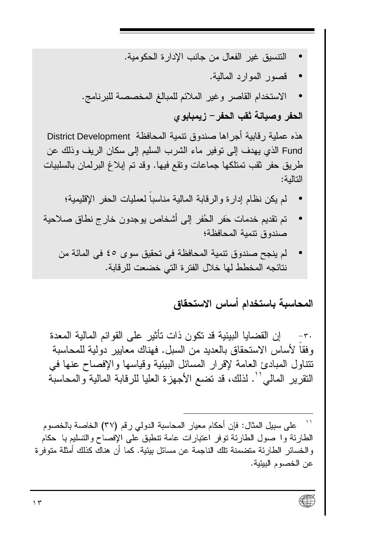- التتسيق غير الفعال من جانب الإدار ة الحكومية.
	- قصور الموارد المالية.
- الاستخدام القاصر وغير الملائم للمبالغ المخصصة للبرنامج.

الحفر وصبانة ثقب الحفر – زبمبابو ي

هذه عملية ر قابية أجراها صندوق نتمية المحافظة District Development Fund الذي يهدف إلى نوفير ٍ ماء الشرب السليم إلى سكان الريف وذلك عن طريق حفر ثقب نمتلكها جماعات ونقع فيها. وقد تم إبلاغ البرلمان بالسلبيات التالية:

- لم يكن نظام إدارة والرقابة المالية مناسبا لعمليات الحفر الإقليمية؛
- تم تقديم خدمات حَفر الحُفر إلى أشخاص يوجدون خارج نطاق صلاحية صندوق نتمية المحافظة؛
	- لم ينجح صندوق نتمية المحافظة في تحقيق سوى ٤٥ في المائة من نتائجه المخطط لها خلال الفتر ة التي خضعت للر قابة.

#### المحاسبة باستخدام أساس الاستحقاق

ان القضابا البيئية قد تكون ذات تأثير على القوائم المالية المعدة  $-\tau$ . وفقا لأساس الاستحقاق بالعديد من السبل. فهناك معايير دولية للمحاسبة تتناول المبادئ العامة لإقرار المسائل البيئية وقياسها والإفصاح عنها في النقر بر المالم ْ '' . لذلك، قد نضع الأجهزة العليا للرقابة المالية والمحاسبة

على سبيل المثال: فإن أحكام معيار المحاسبة النولمي رقم (٣٧) الخاصة بالخصوم الطارئة وا صول الطارئة نوفر اعتبارات عامة نتطبق على الإفصاح والتسليم با حكام و الخسائر ِ الطار ئة متضمنة تلك الناجمة عن مسائل بيئية. كما أن هناك كذلك أمثلة متو فر ة عن الخصوم البيئية.

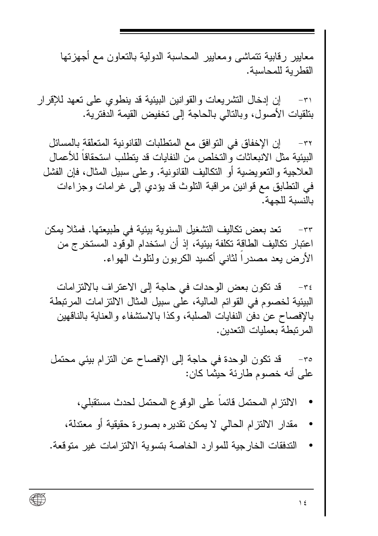معايير رقابية تتماشى ومعايير المحاسبة الدولية بالتعاون مع أجهزتها القطر بة للمحاسبة.

إن إدخال التشريعات والقوانين البيئية قد ينطوى على تعهد للإقرار  $-\tau$ بنلقيات الأصول، وبالنالي بالحاجة إلى تخفيض القيمة الدفترية.

إن الإخفاق في النو افق مع المتطلبات القانو نية المتعلقة بالمسائل  $-\tau\tau$ البيئية مثل الانبعاثات و التخلص من النفايات قد بتطلب استحقاقا للأعمال العلاجية و التعويضية أو التكاليف القانونية. و على سبيل المثال، فإن الفشل في النطابق مع قو انين مر اقبة النلوث قد يؤدي إلى غر امات وجز اءات بالنسبة للجهة.

تعد بعض تكاليف التشغيل السنوية بيئية في طبيعتها. فمثلا يمكن  $-\tau\tau$ اعتبار تكاليف الطاقة تكلفة بيئية، إذ أن استخدام الوقود المستخرج من الأرض يعد مصدرا لثانبي أكسيد الكربون ولنلوث الهواء.

قد تكون بعض الوحدات في حاجة إلى الاعتراف بالالتزامات  $-\tau$ البيئية لخصوم في القوائم المالية، على سبيل المثال الالتز امات المر تبطة بالإفصاح عن دفن النفايات الصلبة، وكذا بالاستشفاء والعناية بالناقهين المر تبطة بعمليات التعدين.

قد نكون الوحدة في حاجة إلى الإفصاح عن النزام بيئي محتمل  $-\tau \circ$ على أنه خصوم طارئة حيثما كان:

- الالتزام المحتمل فائما على الوفوع المحتمل لحدث مستقبلي،
- مقدار الالتزام الحالي لا يمكن نقديره بصورة حقيقية أو معتدلة،
- التدفقات الخارجية للموارد الخاصة بتسوية الالتزامات غير متوقعة.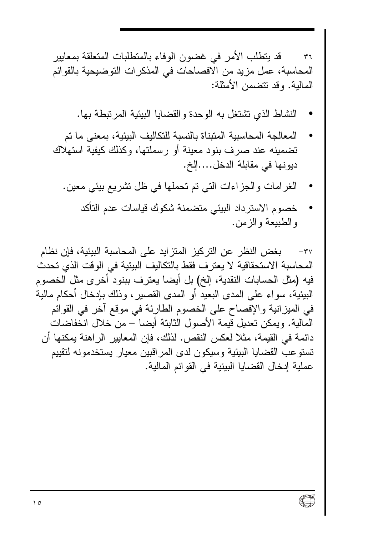قد يتطلب الأمر ً في غضون الوفاء بالمتطلبات المتعلقة بمعايير  $-\tau$ المحاسبة، عمل مز بد من الافصاحات في المذكر ات التو ضبحبة بالقو ائم المالبة. وقد تتضمن الأمثلة:

- النشاط الذي تشتغل به الوحدة والقضايا البيئية المرتبطة بها.
- المعالجة المحاسبية المتبناة بالنسبة للتكاليف البيئية، بمعنى ما تم تضمينه عند صر ف بنود معينة أو رسملتها، وكذلك كيفية استهلاك ديو نها في مقابلة الدخل....إلخ.
	- الغرامات والجزاءات التي تم تحملها في ظل تشريع بيئي معين.
		- خصوم الاستر داد الببئي متضمنة شكوك قباسات عدم التأكد و الطبيعة و الز من.

بغض النظر عن التركيز المتزايد على المحاسبة البيئية، فإن نظام  $-\mathbf{r}\mathbf{v}$ المحاسبة الاستحقاقية لا يعترف فقط بالتكاليف البيئية في الوقت الذي تحدث فيه (مثل الحسابات النقدية، إلخ) بل أيضا يعترف ببنود أخرى مثل الخصوم البيئية، سو اء على المدى البعيد أو المدى القصير ، وذلك بإدخال أحكام مالية في الميز انية والإفصاح على الخصوم الطارئة في موقع آخر في القوائم المالية. ويمكن تعديل قيمة الأصول الثابتة أيضا – من خلال انخفاضات دائمة في القيمة، مثلا لعكس النقص. لذلك، فإن المعايير الراهنة يمكنها أن تستوعب القضايا البيئية وسيكون لدى المر اقبين معيار يستخدمونه لتقييم عملية إدخال القضايا البيئية في القو ائم المالية.

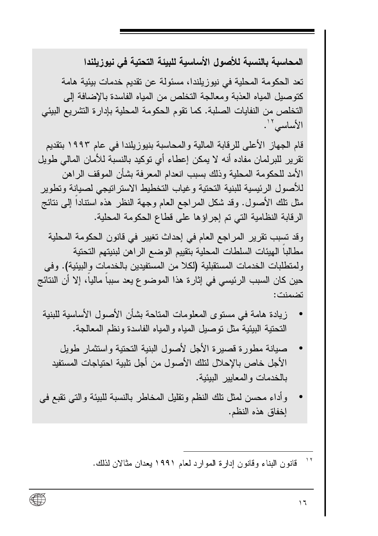المحاسبة بالنسبة للأصول الأساسبة للبيئة التحتبة في نبوز بلندا

تعد الحكومة المحلية في نيوزيلندا، مسئولة عن تقديم خدمات بيئية هامة كتوصيل المياه العذبة ومعالجة التخلص من المياه الفاسدة بالإضافة إلى التخلص من النفايات الصلبة. كما تقوم الحكومة المحلية بإدار ة التشر يع البيئي الأساسى ''.

قام الجهاز ِ الأعلى للرقابة المالية و المحاسبة بنيوز يلندا في عام ١٩٩٣ بتقديم تقرير للبرلمان مفاده أنه لا يمكن إعطاء أي توكيد بالنسبة للأمان المالي طويل الأمد للحكومة المحلية وذلك بسبب انعدام المعر فة بشأن الموقف الر اهن للأصول الرئيسية للبنية التحتية وغياب التخطيط الاستر اتيجي لصيانة وتطوير مثل نلك الأصول. وقد شكل المراجع العام وجهة النظر هذه استنادا إلى نتائج الرقابة النظامية التي تم إجراؤها على قطاع الحكومة المحلية.

وقد تسبب تقرير المراجع العام في إحداث تغيير في قانون الحكومة المحلية مطالبا الهيئات السلطات المحلية بتقييم الوضع الراهن لبنيتهم التحتية ولمتطلبات الخدمات المستقبلية (لكلا من المستفيدين بالخدمات والبيئية). وفي حين كان السبب الرئيسي في إثار ة هذا الموضوع يعد سببا ماليا، إلا أن النتائج تضمنت:

- زيادة هامة في مستوى المعلومات المتاحة بشأن الأصول الأساسية للبنية التحتية البيئية مثل توصيل المياه والمياه الفاسدة ونظم المعالجة.
	- صبانة مطورة قصبرة الأجل لأصول البنية التحتية واستثمار طويل الأجل خاص بالإحلال لنلك الأصول من أجل نلبية احتياجات المستفيد بالخدمات والمعابير الببئبة.
- وأداء محسن لمثل نلك النظم ونقليل المخاطر بالنسبة للبيئة والتبي نقبع في إخفاق هذه النظم.

 $\overline{11}$ قانون البناء وقانون إدارة الموارد لعام ١٩٩١ يعدان مثالان لذلك.

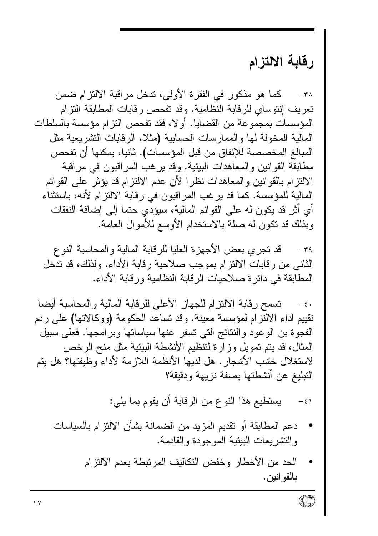#### رقابة الالتزام

كما هو مذكور في الفقرة الأولى، ندخل مراقبة الالتزام ضمن  $-\mathbf{r}$ تعريف إنتوساي للرقابة النظامية. وقد تفحص رقابات المطابقة التزام المؤسسات بمجموعة من القضايا. أو لا، فقد تفحص التز ام مؤسسة بالسلطات المالية المخولة لها والممارسات الحسابية (مثلا، الرقابات التشريعية مثل المبالغ المخصصة للإنفاق من قبل المؤسسات). ثانيا، بمكنها أن تفحص مطابقة القو انين و المعاهدات البيئية. وقد ير غب المر اقبون في مر اقبة الالتز ام بالقوَّانين والمعاهدات نظرًا لأن عدم الالتزام قد يؤثِّر على القوائم المالية للمؤسسة. كما قد ير غب المر اقبون في ر قابة الالتز ام لأنه، باستثناء أي أثر قد بكون له على القو ائم المالية، سيؤدي حتما إلى إضافة النفقات وبذلك قد نكون له صلة بالاستخدام الأوسع للأموال العامة.

قد تجرى بعض الأجهز ة العليا للر قابة المالية و المحاسبة النو ع  $-\tau$ ۹ الثاني من ر قابات الالتز ام بموجب صلاحية ر قابة الأداء. و لذلك، قد تدخل المطابقة في دائرة صلاحيات الرقابة النظامية ورقابة الأداء.

تسمح رقابة الالتزام للجهاز الأعلى للرقابة المالية والمحاسبة أيضا  $-\epsilon$ . تقييم أداء الالتزام لمؤسسة معينة. وقد تساعد الحكومة (ووكالاتها) على ردم الفجوة بن الوعود والنتائج التي تسفر عنها سياساتها وبر امجها. فعلم سبيل المثال، قد يتم تمويل وز ار ة لتنظيم الأنشطة البيئية مثل منح الر خص لاستغلال خشب الأشجار . هل لديها الأنظمة اللاز مة لأداء وظبفتها؟ هل بتم التبليغ عن أنشطتها بصفة نزيهة ودقيقة؟

> يستطيع هذا النوع من الرقابة أن يقوم بما يلي:  $-51$

- دعم المطابقة أو تقديم المزيد من الضمانة بشأن الالتزام بالسياسات والنشريعات البيئية الموجودة والقادمة.
	- الحد من الأخطار وخفض النكاليف المرتبطة بعدم الالتزام بالقو انين.

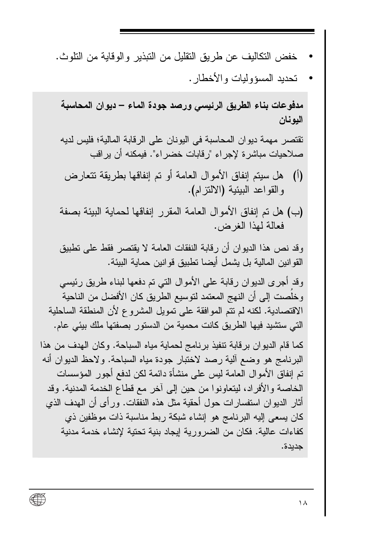• تحديد المسؤوليات والأخطار .

مدفوعات بناء الطريق الرئيسي ورصد جودة الماء – ديوان المحاسبة اليونان

تقتصر ٍ مهمة ديو ان المحاسبة في اليونان على الرقابة المالية؛ فليس لديه صلاحيات مباشرة لإجراء "رقابات خضر اء". فيمكنه أن ير اقب

- (أ) هل سيتم إنفاق الأمو ال العامة أو تم إنفاقها بطر بقة تتعار ض والقواعد البيئية (الالنتزام).
- (ب) هل تم إنفاق الأموال العامة المقرر إنفاقها لحماية البيئة بصفة فعالة لمهذا الغرض.

وقد نص هذا الدبوان أن رقابة النفقات العامة لا بقتصر فقط على تطبيق القو انين المالية بل يشمل أيضا تطبيق قو انين حماية البيئة.

وقد أجرى الديوان رقابة على الأموال التي تم دفعها لبناء طريق رئيسي و خلصت إلى أن النهج المعتمد لتوسيع الطريق كان الأفضل من الناحية الاقتصادية. لكنه لم تتم الموافقة على تمويل المشروع لأن المنطقة الساحلية التي ستشيد فيها الطريق كانت محمية من الدستور بصفتها ملك بيئي عام.

كما قام الديوان بر قابة تتفيذ بر نامج لحماية مياه السباحة. وكان الهدف من هذا البرنامج هو وضع ألية رصد لاختبار جودة مياه السباحة. ولاحظ الديوان أنه تم إنفاق الأموال العامة ليس على منشأة دائمة لكن لدفع أجور المؤسسات الخاصة والأفر اد، ليتعاونو ا من حين إلى آخر ٍ مع قطاع الخدمة المدنية. وقد أثار الديوان استفسارات حول أحقية مثل هذه النفقات. ورأى أن الـهدف الذي كان يسعى إليه البرنامج هو إنشاء شبكة ربط مناسبة ذات موظفين ذي كفاءات عالية. فكان من الضر ورية إيجاد بنية تحتية لإنشاء خدمة مدنية جديدة.

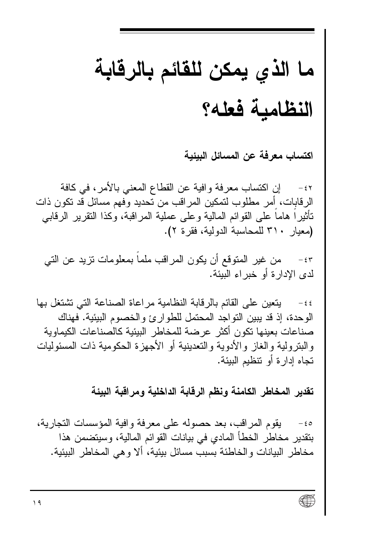## ما الذي يمكن للقائم بالرقابة النظامية فعله؟

اكتساب معرفة عن المسائل البيئية

إن اكتساب معر فة و افية عن القطاع المعنى بالأمر ، في كافة  $-\xi$   $\Upsilon$ الرقابات، أمر مطلوب لتمكين المراقب من تحديد وفهم مسائل قد تكون ذات تأثيرًا هاما على القوائم المالية وعلى عملية المراقبة، وكذا النقرير الرقابي (معيار ٣١٠ للمحاسبة الدولية، فقرة ٢).

من غير المتوقع أن يكون المراقب ملما بمعلومات نزيد عن التي  $-\epsilon$  ۳ لدي الإدار ة أو خبر اء الببئة.

يتعين على القائم بالرقابة النظامية مراعاة الصناعة التي تشتغل بها  $-55$ الو حدة، إذ قد يبين التو اجد المحتمل للطو ار يً و الخصوم البيئية. فهناك صناعات بعينها تكون أكثر عرضنة للمخاطر البيئية كالصناعات الكيماوية والبنزولية والغاز والأدوية والنعدينية أو الأجهزة الحكومية ذات المسئوليات تجاه إدار ة أو تتظيم البيئة.

تقدير المخاطر الكامنة ونظم الرقابة الداخلية ومراقبة البيئة

يقوم المر اقب، بعد حصوله على معرفة وافية المؤسسات التجارية،  $-\epsilon$  0 بتقدير مخاطر الخطأ المادي في بيانات القوائم المالية، وسيتضمن هذا مخاطر البيانات والخاطئة بسبب مسائل بيئية، ألا وهي المخاطر البيئية.

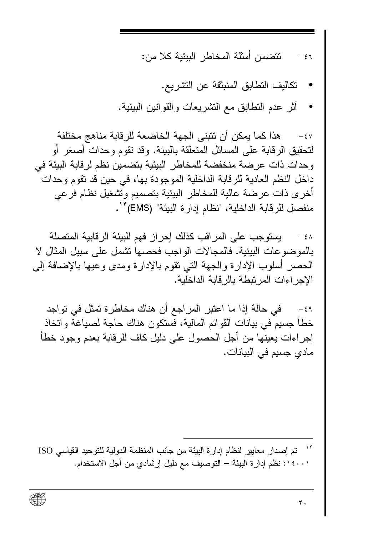تتضمن أمثلة المخاطر الببئبة كلا من:  $= 57$ 

- تكاليف التطابق المنبثقة عن التشر بع.
- أثر عدم النطابق مع النشريعات والقوانين الببيئية.  $\bullet$

هذا كما يمكن أن تتبنى الجهة الخاضعة للرقابة مناهج مختلفة  $-\xi V$ لتحقيق الر قابة على المسائل المتعلقة بالبيئة. و قد نقوم و حدات أصغر أو وحدات ذات عر ضنة منخفضة للمخاطر البيئية بتضمين نظم لرقابة البيئة في داخل النظم العادية للرقابة الداخلية الموجودة بها، في حين قد نقوم وحدات أخرى ذات عرضة عالية للمخاطر البيئية بتصميم وتشغيل نظام فرعى منفصل للرقابة الداخلية، "نظام إدارة البيئة" (EMS) ّ".

يستوجب على المر اقب كذلك إحراز فهم للبيئة الر قابية المتصلة  $-\epsilon \Lambda$ بالمو ضو عات البيئية. فالمجالات الو اجب فحصها تشمل على سبيل المثال لا الحصر أسلوب الإدارة والجهة النى نقوم بالإدارة ومدى وعيها بالإضافة إلى الإجر اءات المر تبطة بالر قابة الداخلية.

في حالة إذا ما اعتبر المراجع أن هناك مخاطرة تمثل في تواجد  $-\epsilon$  9 خطأ جسيم في بيانات القو ائم المالية، فستكون هناك حاجة لصياغة و اتخاذ إجراءات يعينها من أجل الحصول على دليل كاف للرقابة بعدم وجود خطأ مادى جسيم في البيانات.

تم إصدار معايير لنظام إدارة البيئة من جانب المنظمة الدولية للتوحيد القياسي ISO ٠٠١٤٠٠١: نظم إدار ة البيئة – التوصيف مع دليل إرشادي من أجل الاستخدام.

∰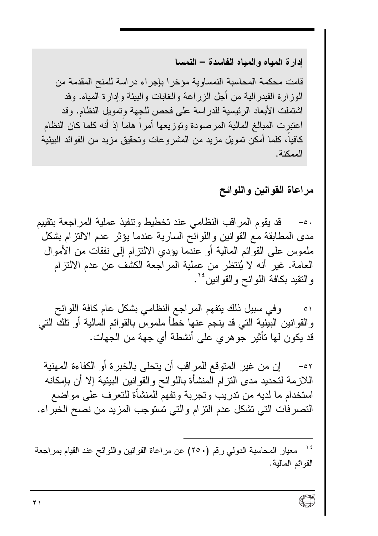ادار ة المياه و المياه الفاسدة – النمسا

قامت محكمة المحاسبة النمساوية مؤخر ا بإجر اء در اسة للمنح المقدمة من الوز ار ة الفيدر الية من أجل الزراعة والغابات والبيئة وإدارة المياه. وقد اشتملت الأبعاد الرئيسية للدراسة على فحص للجهة وتمويل النظام. وقد اعتبرت المبالغ المالية المرصودة وتوزيعها أمرآ هامآ إذ أنه كلما كان النظام كافياً، كلما أمكن تمويل مزيد من المشر و عات وتحقيق مزيد من الفوائد البيئية الممكنة.

مراعاة القوانين واللوائح

قد بقوم المر اقب النظامي عند تخطيط وتنفيذ عملية المر اجعة بتقييم  $-\circ$ . مدى المطابقة مع القوانين واللوائح السارية عندما يؤثر عدم الالتزام بشكل ملموس على القوائم المالية أو عندما يؤدي الالتزام إلى نفقات من الأموال العامة. غير أنه لا يُنتظر من عملية المراجعة الكشف عن عدم الالتزام و النقيد بكافة اللو ائح و القو انين<sup>ء ١</sup>٠

وفي سبيل ذلك يتفهم المراجع النظامي بشكل عام كافة اللوائح  $-\circ$ و القو انين البيئية التي قد ينجم عنها خطأ ملموس بالقو ائم المالية أو تلك التي قد يكون لمها تأثير جوهر ي على أنشطة أي جهة من الجهات.

إن من غير المتوقع للمراقب أن يتحلى بالخبر ة أو الكفاءة المهنية  $-\circ 7$ اللازمة لتحديد مدى التز ام المنشأة باللوائح والقوانين البيئية إلا أن بإمكانه استخدام ما لديه من ندر بب و تجر بة و تفهم للمنشأة للتعر ف على مو اضـع التصرفات التي نشكل عدم التزام والتي تستوجب المزيد من نصح الخبراء.

معيار المحاسبة الدولي رقم (٢٥٠) عن مراعاة القوانين واللوائح عند القيام بمراجعة القوائم المالية.

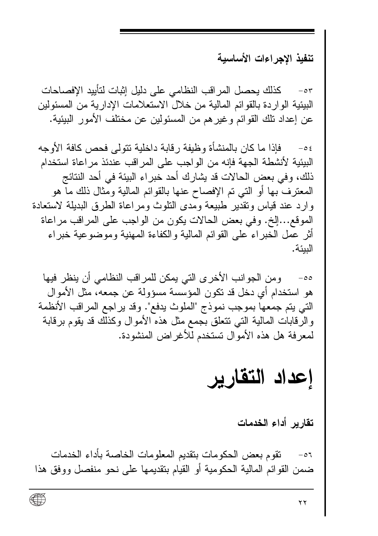تنفيذ الاجراءات الأساسية

كذلك بحصل المر اقب النظامي على دلبل اثبات لتأبيد الافصاحات  $-\circ r$ البيئية الواردة بالقوائم المالية من خلال الاستعلامات الإدارية من المسئولين عن إعداد نلك القوائم وغير هم من المسئولين عن مختلف الأمور الببيئية.

فإذا ما كان بالمنشأة و ظيفة ر قابة داخلية نتولى فحص كافة الأوجه  $-$  0  $\epsilon$ البيئية لأنشطة الجهة فإنه من الواجب على المر اقب عندئذ مر اعاة استخدام ذلك، وفي يعض الحالات قد يشار ك أحد خير اء البيئة في أحد النتائج المعترف بها أو التبي تم الإفصاح عنها بالقوائم المالية ومثال ذلك ما هو وارد عند قياس وتقدير طبيعة ومدى التلوث ومر اعاة الطرق البديلة لاستعادة الموقع...إلخ. وفي بعض الحالات بكون من الواجب على المر اقب مر اعاة أثر عمل الخبر اء على القوائم المالية والكفاءة المهنية وموضوعية خبر اء النئة.

ومن الجوانب الأخرى التي يمكن للمراقب النظامي أن ينظر فيها  $-\circ \circ$ هو استخدام أي دخل قد تكون المؤسسة مسؤولة عن جمعه، مثل الأموال التي يتم جمعها بموجب نموذج "الملوث يدفع". وقد ير اجع المراقب الأنظمة والرقابات المالية التي نتعلق بجمع مثل هذه الأموال وكذلك قد يقوم برقابة لمعر فة هل هذه الأمو ال تستخدم للأغر اض المنشودة.

### إعداد التقارير

تقارير أداء الخدمات

نقوم بعض الحكومات بنقديم المعلومات الخاصة بأداء الخدمات  $-01$ ضمن القوائم المالية الحكومية أو القيام بتقديمها على نحو منفصل ووفق هذا

∰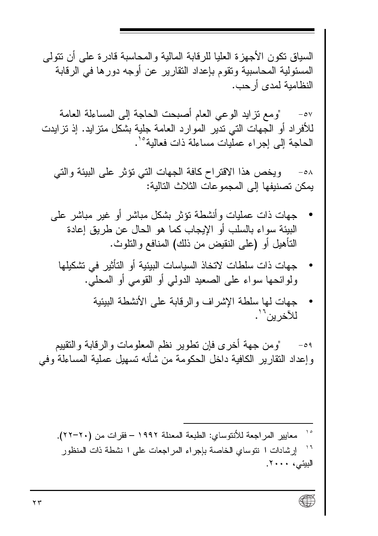السياق تكون الأجهز ة العليا للر قابة المالية و المحاسبة قادر ة على أن تتولى المسئولية المحاسبية وتقوم بإعداد النقارير عن أوجه دور ها في الر قابة النظامية لمدى أر حب.

"ومع نزايد الوعى العام أصبحت الحاجة إلى المساءلة العامة  $-\circ \vee$ للأفراد أو الجهات التي ندير الموارد العامة جلية بشكل منز ايد. إذ نزايدت الحاجة إلى إجراء عمليات مساءلة ذات فعالية°'.

ويخص هذا الاقتراح كافة الجهات التي نؤثر على البيئة والتي  $-\circ \lambda$ بِمكن تصنيفها إلى المجمو عات الثلاث التالية:

- جهات ذات عمليات وأنشطة تؤثر بشكل مباشر أو غير مباشر على البيئة سواء بالسلب أو الإيجاب كما هو الحال عن طريق إعادة التأهيل أو (على النقيض من ذلك) المنافع والنلوث.
	- جهات ذات سلطات لاتخاذ السياسات البيئية أو التأثير في تشكيلها ولوائحها سواء على الصعيد الدولي أو القومي أو المحلي.
		- جهات لها سلطة الاشر اف والر قابة على الأنشطة الببئبة للآخر بن'' .

"و من جهة أخر ي فإن تطوير نظم المعلو مات و الر قابة و التقييم  $-09$ وإعداد النقارير الكافية داخل الحكومة من شأنه تسهيل عملية المساءلة وفي

 $\lambda$ معايير المراجعة للأنتوساي: الطبعة المعدلة ١٩٩٢ – فقرات من (٢٠-٢٢).  $\boldsymbol{\mathcal{M}}$ إرشادات ا نتوساى الخاصة بإجراء المراجعات على ا نشطة ذات المنظور البيئى، ٢٠٠٠.

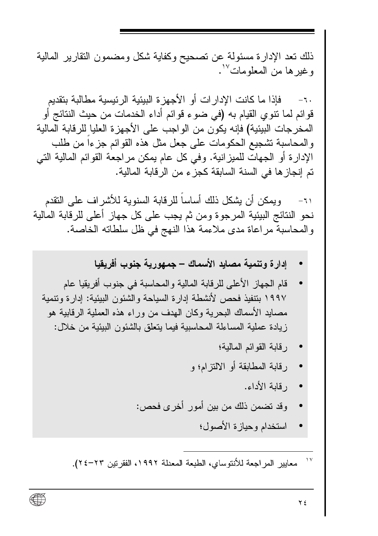ذلك تعد الإدار ة مسئولة عن تصحيح وكفاية شكل ومضمون النقار ير المالية و غير ها من المعلومات<sup>17</sup>.

٦٠- فاذا ما كانت الإدار ات أو الأجهز ة البيئية الر ئيسية مطالبة بتقديم قوائم لما نتوي القيام به (في ضوء قوائم أداء الخدمات من حيث النتائج أو المخرجات البيئية) فإنه يكون من الواجب على الأجهزة العليا للرقابة المالية والمحاسبة تشجيع الحكومات على جعل مثل هذه القوائم جزءاً من طلب الإدارة أو الجهات للميز انية. وفي كل عام يمكن مر اجعة القوائم المالية التي تم إنجاز ها في السنة السابقة كجز ء من الر قابة المالية.

ويمكن أن يشكل ذلك أساسا للرقابة السنوية للأشراف على النقدم  $-71$ نحو النتائج البيئية المرجوة ومن ثم يجب على كل جهاز أعلى للرقابة المالية والمحاسبة مراعاة مدى ملاءمة هذا النهج في ظل سلطاته الخاصة.

- إدار ة وتنمية مصابد الأسماك جمهورية جنوب أفريقيا
- قام الجهاز الأعلى للر قابة المالية و المحاسبة في جنوب أفر بقبا عام ١٩٩٧ بنتفيذ فحص لأنشطة إدار ة السياحة والشئون البيئية: إدار ة وتتمية مصبايد الأسماك البحرية وكان الهدف من وراء هذه العملية الرقابية هو زيادة عملية المساءلة المحاسبية فيما يتعلق بالشئون البيئية من خلال:
	- ر قابة القو ائم المالية؛
	- رِ قَابِهْ الْمُطَابِقَةِ أَوِ الْإِلَيْزِ إِمِّ وِ
		- رقابة الأداء.
	- وقد تضمن ذلك من بين أمور أخرى فحص:
		- استخدام وحيازة الأصول؛

 $\Delta V$ معايير المراجعة للأنتوساي، الطبعة المعدلة ١٩٩٢، الفقرنين ٢٣-٢٤.

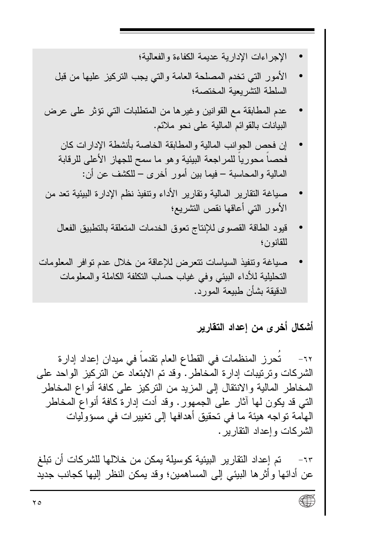- الإجر اءات الإدار بة عديمة الكفاءة والفعالية؛
- الأمور التبي تخدم المصلحة العامة والتبي يجب النركيز عليها من قبل السلطة التشر بعبة المختصة؛
- عدم المطابقة مع القوانين وغير ها من المتطلبات التي تؤثر على عرض البيانات بالقوائم المالية على نحو ملائم.
	- إن فحص الجوانب المالية والمطابقة الخاصة بأنشطة الإدار ات كان فحصـاً محورياً للمراجعة البيئية وهو ما سمح للجهاز الأعلى للرقابة المالية والمحاسبة – فيما بين أمور أخرى – للكشف عن أن:
- صباغة النقارير المالية ونقارير الأداء ونتفيذ نظم الإدارة البيئية تعد من الأمور التبي أعاقها نقص التشريع؛
	- قيود الطاقة القصوى للإنتاج تعوق الخدمات المتعلقة بالتطبيق الفعال للقانون؛
- صياغة وتنفيذ السياسات تتعرض للإعاقة من خلال عدم توافر المعلومات التحليلية للأداء البيئي وفي غياب حساب التكلفة الكاملة والمعلومات الدقيقة بشأن طبيعة المورد.

أشكال أخرى من إعداد التقارير

تحرز المنظمات في القطاع العام تقدما في مبدان إعداد إدارة  $-77$ الشركات وترتيبات إدارة المخاطر . وقد تم الابتعاد عن التركيز الواحد على المخاطر المالية والانتقال إلى المزيد من النركيز على كافة أنواع المخاطر النبي قد يكون لمها آثار على الجمهور . وقد أدت إدارة كافة أنواع المخاطر الْهامة تو اجه هيئة ما في تحقيق أهدافها إلى تغيير ات في مسؤو ليات الشركات وإعداد النقارير .

تم إعداد النقارير البيئية كوسيلة يمكن من خلالها للشركات أن تبلغ  $-7r$ عن أدائها و أثر ها البيئي إلى المساهمين؛ وقد يمكن النظر إليها كجانب جديد

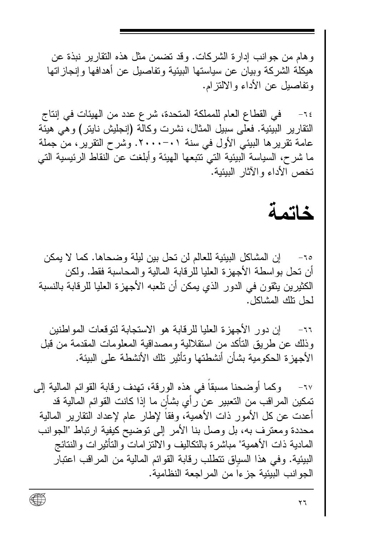و هام من جو انب إدار ة الشر كات. وقد تضمن مثل هذه النقار بر نبذة عن هبكلة الشر كة وبيان عن سياستها البيئية وتفاصيل عن أهدافها وإنجاز اتها وتفاصيل عن الأداء والالتز ام.

في القطاع العام للمملكة المتحدة، شرع عدد من الهيئات في إنتاج  $-16$ النقار بر البيئية. فعلى سبيل المثال، نشرت وكالة (إنجليش نابِتر ) و هي هيئة عامة تقرير ها البيئي الأول في سنة ٢٠٠١٠٠٠. وشرح التقرير ، من جملة ما شرح، السياسة البيئية التي تتبعها الهيئة وأبلغت عن النقاط الرئيسية التي تخص الأداء والآثار الببئبة.

#### خاتمة

إن المشاكل البيئية للعالم لن نحل بين ليلة وضحاها. كما لا يمكن  $-10$ أن تحل بو اسطة الأجهز ة العليا للر قابة المالية و المحاسبة فقط. و لكن الكثيرين يثقون في الدور الذي يمكن أن تلعبه الأجهزة العليا للرقابة بالنسبة لحل نلك المشاكل.

ان دور الأجهز ة العلبا للر قابة هو الاستجابة لتوقعات المواطنين  $-11$ وذلك عن طريق التأكد من استقلالية ومصداقية المعلومات المقدمة من قبل الأجهز ة الحكومبة بشأن أنشطتها وتأثبر تلك الأنشطة على الببئة.

وكما أوضحنا مسبقا في هذه الورقة، تهدف رقابة القوائم المالية إلى  $-1V$ تمكين المراقب من التعبير عن ر أى بشأن ما إذا كانت القوائم المالية قد أعدت عن كل الأمور ذات الأهمية، وفقا لإطار عام لإعداد النقارير المالية محددة ومعترف به، بل وصل بنا الأمر إلى نوضيح كيفية ارتباط "الجوانب المادية ذات الأهمية" مباشر ة بالتكاليف والالتز امات والنأثير ات والنتائج البيئية. وفي هذا السياق تتطلب رقابة القوائم المالية من المراقب اعتبار الجو انب البيئية جز ءا من المر اجعة النظامية.

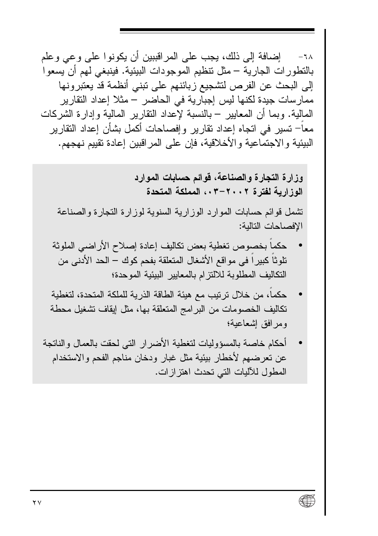إضافة إلى ذلك، يجب على المر اقببين أن يكونوا على و عي و علم  $-7<sub>A</sub>$ بالنطور ات الجار ية – مثل نتظيم الموجودات البيئية. فينبغي لهم أن يسعو ا إلى البحث عن الفرص لتشجيع زبائنهم على تبني أنظمة قد يعتبرونها ممار سات جيدة لكنها ليس إجبار ية في الحاضر – مثلا إعداد التقار ير المالية. وبما أن المعايير – بالنسبة لإعداد النقارير المالية وإدارة الشركات معاً– تسير في اتجاه إعداد نقار بر وإفصـاحات أكمل بشأن إعداد النقار بر البيئية والاجتماعية والأخلاقية، فإن على المراقبين إعادة تقييم نهجهم.

> وزارة التجارة والصناعة، فوائم حسابات الموارد الوزارية لفترة ٢٠٠٢-٠٠، المملكة المتحدة

تشمل قوائم حسابات الموارد الوزارية السنوية لوزارة النجارة والصناعة الافصاحات التالبة:

- حكماً بخصوص تغطية بعض تكاليف إعادة إصلاح الأراضي الملوثة تلوثا كبير ا في مو اقع الأشغال المتعلقة بفحم كوك — الحد الأدنى من التكاليف المطلوبة للالتزام بالمعايير البيئية الموحدة؛
- حكما، من خلال تر تبب مع هبئة الطاقة الذر بة للملكة المتحدة، لتغطبة تكاليف الخصومات من البرامج المتعلقة بها، مثل إيقاف تشغيل محطة ومرافق إشعاعية؛
- أحكام خاصة بالمسؤوليات لتغطية الأضرار التي لحقت بالعمال والناتجة عن تعرضهم لأخطار بيئية مثل غبار ودخان مناجم الفحم والاستخدام المطول للآليات التي تحدث اهتز إز ات.

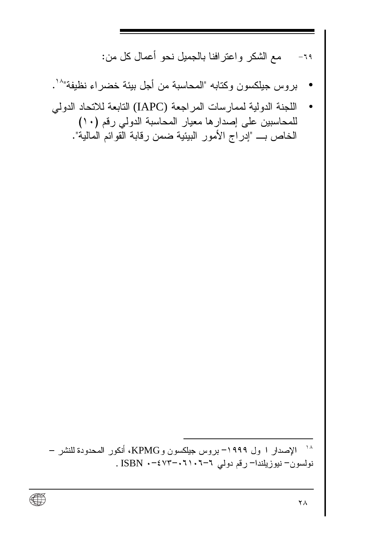مع الشكر واعتر افنا بالجميل نحو أعمال كل من:  $-19$ 

- بروس جيلكسون وكتابه "المحاسبة من أجل بيئة خضر اء نظيفة"^`.
- اللجنة الدولية لممار سات المر اجعة (JAPC) التابعة للاتحاد الدولي للمحاسبين على إصدار ها معيار المحاسبة الدولي رفم (١٠) الخاص بـــ "إدراج الأمور البيئية ضمن رقابة القوائم المالية".

<sup>١٨</sup> الإصدار ا ول ١٩٩٩– بروس جيلكسون و KPMG، أنكور المحدودة للنشر – نولسون-نيوزيلندا- رقم دولي ٢-٢٠١٠٦-٢٧٣ . ISBN

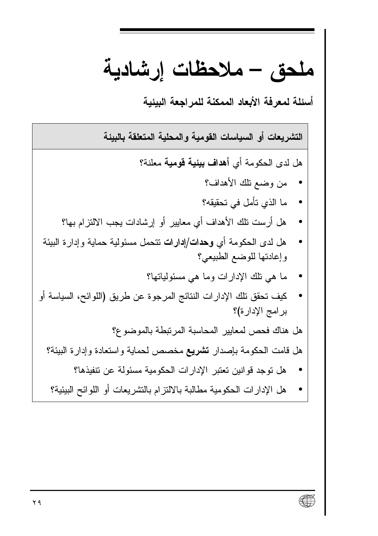ملحق – ملاحظات إرشادية

أسئلة لمعرفة الأبعاد الممكنة للمراجعة الببئبة

التشريعات أو السياسات القومية والمحلية المتعلقة بالبيئة هل لدى الحكومة أي أهداف بيئية قومية معلنة؟ من وضع تلك الأهداف؟ ما الذي تأمل في تحقيقه؟ هل أرست تلك الأهداف أي معايير أو إرشادات يجب الالتزام بها؟ هل لدى الحكومة أي وحدات/إدارات نتحمل مسئولية حماية وإدارة البيئة وإعادتها للوضع الطبيعي؟ ما هي نلك الإدارات وما هي مسئولياتها؟ كيف تحقق تلك الإدارات النتائج المرجوة عن طريق (اللوائح، السياسة أو بر امج الإدارة)؟ هل هناك فحص لمعايير المحاسبة المرتبطة بالموضوع؟ هل قامت الحكومة بإصدار تشريع مخصص لحماية واستعادة وإدارة البيئة؟ هل توجد قوانين تعتبر الإدارات الحكومية مسئولة عن تتفيذها؟  $\bullet$ هل الإدارات الحكومية مطالبة بالالتزام بالتشريعات أو اللوائح البيئية؟

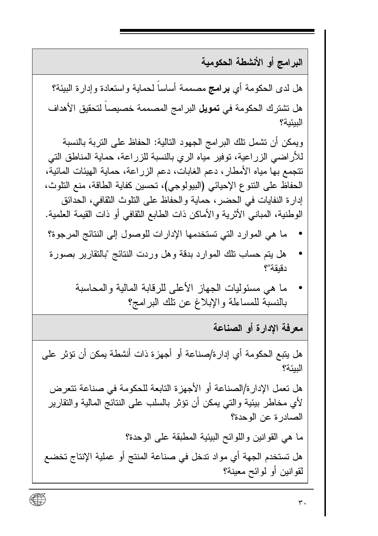البر امج أو الأنشطة الحكومية

هل لدى الحكومة أي **برامج** مصممة أساساً لحماية واستعادة وإدارة الببيئة؟ هل تشترك الحكومة في **تمويل** البر امج المصممة خصيصاً لتحقيق الأهداف البيئية؟

ويمكن أن تشمل تلك البرامج الجهود التالية: الحفاظ على النربة بالنسبة للأر اضبي الزر اعية، توفير ٍ مياه الري بالنسبة للزر اعة، حماية المناطق التي تتجمع بها مياه الأمطار ، دعم الغابات، دعم الزراعة، حماية الهيئات المائية، الحفاظ على النتوع الإحيائي (البيولوجي)، تحسين كفاية الطاقة، منع النلوث، إدار ة النفايات في الحضر ، حماية و الحفاظ على النلوث الثقافي، الحدائق الوطنية، المباني الأثرية والأماكن ذات الطابع الثقافي أو ذات القيمة العلمية.

- ما هي الموارد التي تستخدمها الإدارات للوصول إلى النتائج المرجوة؟
- هل يتم حساب نلك الموارد بدقة وهل وردت النتائج "بالنقارير بصورة دقبقة"؟
	- ما هي مسئو ليات الجهاز الأعلى للر قابة المالية و المحاسبة بالنسبة للمساءلة والإبلاغ عن نلك البر امج؟

معرفة الادارة أو الصناعة

هل يتبع الحكومة أي إدار ة/صناعة أو أجهزة ذات أنشطة يمكن أن تؤثر على البيئة؟ هل تعمل الإدار ة/الصناعة أو الأجهز ة التابعة للحكومة في صناعة تتعرض لأي مخاطر بيئية والتـي يمكن أن نؤثر بالسلب علـي الننائج المالية والنقارير الصادرة عن الوحدة؟ ما هي القوانين واللوائح البيئية المطبقة على الوحدة؟ هل تستخدم الجهة أي مواد تدخل في صناعة المنتج أو عملية الإنتاج تخضع لقوانين أو لوائح معينة؟

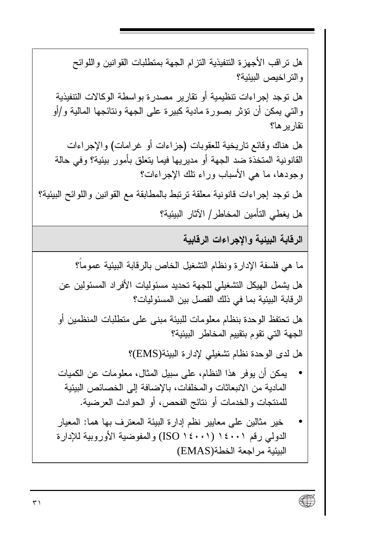هل تر اقب الأجهز ة التتفيذية التز ام الجهة بمتطلبات القوانين واللوائح والتر اخيص البيئية؟ هل توجد إجر اءات تنظيمية أو تقار بر مصدر ة بو اسطة الوكالات التتفيذية و التي يمكن أن تؤثِّر بصور ة مادية كبير ة على الجهة ونتائجها المالية و/أو نقار بر ها؟ هل هناك وقائع ناريخية للعقوبات (جزاءات أو غرامات) والإجراءات القانونية المتخذة ضد الجهة أو مدير يها فيما يتعلق بأمور بيئية؟ وفي حالة وجودها، ما هي الأسباب وراء نلك الإجراءات؟ هل توجد إجراءات قانونية معلقة ترتبط بالمطابقة مع القوانين واللوائح البيئية؟ هل يغطي التأمين المخاطر / الآثار البيئية؟

الرقابة الببئبة والاجر اءات الرقابية

ما هي فلسفة الإدارة ونظام التشغيل الخاص بالرقابة البيئية عموما؟ هل يشمل الهيكل التشغيلي للجهة تحديد مسئوليات الأفر اد المسئولين عن الر قابة البيئية بما في ذلك الفصل بين المسئوليات؟ هل تحتفظ الوحدة بنظام معلومات للبيئة مبنى على متطلبات المنظمين أو الجهة التي تقوم بتقييم المخاطر البيئية؟ هل لدى الوحدة نظام تشغيلي لإدارة البيئة(EMS)؟

- يمكن أن يوفر هذا النظام، على سبيل المثال، معلومات عن الكميات المادية من الانبعاثات والمخلفات، بالإضافة إلى الخصائص البيئية للمنتجات والخدمات أو نتائج الفحص، أو الحوادث العرضية.
- خير مثالين على معايير نظم إدارة البيئة المعترف بها هما: المعيار الدولي رقم ١٤٠٠١ (١٤٠٠١ (ISO ) والمفوضية الأوروبية للإدارة البيئية مر اجعة الخطة(EMAS)

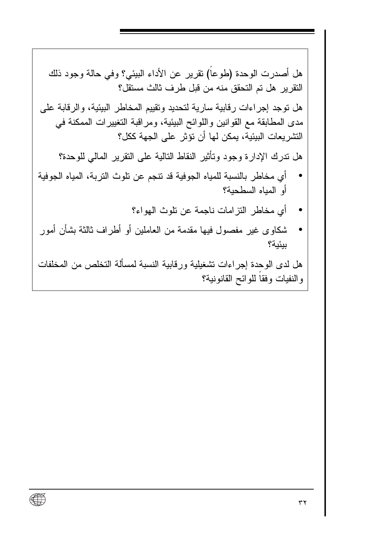والنفيات وفقاً للوائح القانونية؟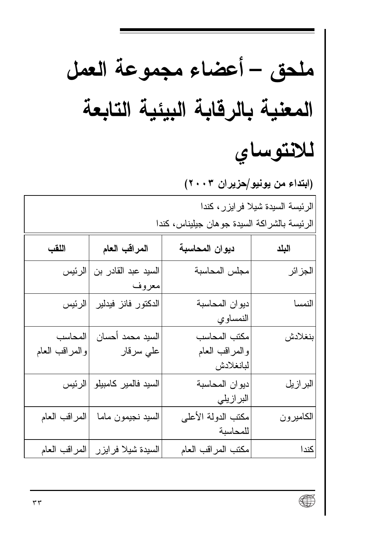| ملحق – أعضاء مجموعة العمل                                                       |                                   |                                             |           |  |
|---------------------------------------------------------------------------------|-----------------------------------|---------------------------------------------|-----------|--|
| المعنية بالرقابة البيئية التابعة                                                |                                   |                                             |           |  |
|                                                                                 |                                   |                                             | للانتوساي |  |
|                                                                                 | (ابتداء من يونيو/حزيران ٢٠٠٣)     |                                             |           |  |
| الرئيسة السيدة شيلا فرايزر، كندا<br>الرئيسة بالشراكة السيدة جوهان جيليناس، كندا |                                   |                                             |           |  |
| اللقب                                                                           | المراقب العام                     | ديوان المحاسبة                              | البلد     |  |
| الرئيس                                                                          | السيد عبد القادر بن<br>معروف      | مجلس المحاسبة                               | الجز ائر  |  |
|                                                                                 | الدكتور فانز فيدلير  الرئيس       | دبوان المحاسبة<br>النمساوي                  | النمسا    |  |
| المحاسب<br>والمراقب العام                                                       | السيد محمد أحسان<br>علي سرقار     | مكتب المحاسب<br>والمراقب العام<br>لبانغلادش | بنغلادش   |  |
|                                                                                 | السيد فالمير كامبيلو  الرئيس      | دبوان المحاسبة<br>البر ازيلي                | البرازيل  |  |
| المراقب العام                                                                   | السيد نجيمون ماما                 | مكتب الدولة الأعلى<br>للمحاسبة              | الكاميرون |  |
|                                                                                 | السبدة شيلا فرايزر  المراقب العام | مكتب المراقب العام                          | كندا      |  |

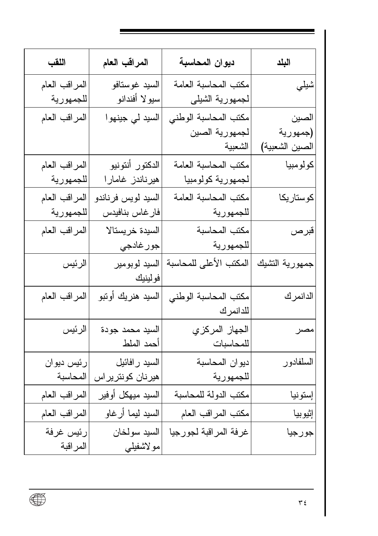| اللقب         | المراقب العام      | ديوان المحاسبة         | البلد          |
|---------------|--------------------|------------------------|----------------|
| المراقب العام | السيد غوستافو      | مكتب المحاسبة العامة   | شيلي           |
| للجمهورية     | سيولا أفندانو      | لجمهورية الشيلي        |                |
| المراقب العام | السيد لي جينهو ا   | مكتب المحاسبة الوطني   | الصين          |
|               |                    | لجمهورية الصين         | (جمهورية       |
|               |                    | الشعبية                | الصين الشعبية) |
| المراقب العام | الدكتور أنتونيو    | مكتب المحاسبة العامة   | كولومبيا       |
| للجمهورية     | هیرناندز غامارا    | لجمهورية كولومبيا      |                |
| المراقب العام | السيد لويس فرناندو | مكتب المحاسبة العامة   | كوستاريكا      |
| للجمهورية     | فارغاس بنافيدس     | للجمهورية              |                |
| المراقب العام | السيدة خريستالا    | مكتب المحاسبة          | قبرص           |
|               | جور غادجي          | للجمهورية              |                |
| الرئيس        | السيد لوبومير      | المكتب الأعلى للمحاسبة | جمهورية التشيك |
|               | فولينيك            |                        |                |
| المراقب العام | السيد هنريك أوتبو  | مكتب المحاسبة الوطني   | الدانمرك       |
|               |                    | للدانمرك               |                |
| الرئيس        | السيد محمد جودة    | الجهاز المركزي         | مصر            |
|               | أحمد الملط         | للمحاسبات              |                |
| رئيس ديوان    | السيد ر افائيل     | ديوان المحاسبة         | السلفادور      |
| المحاسبة      | هیرنان کونتریراس   | للجمهورية              |                |
| المراقب العام | السيد ميهكل أوفير  | مكتب الدولة للمحاسبة   | إستونيا        |
| المراقب العام | السيد ليما أرغاو   | مكتب المراقب العام     | إثيوبيا        |
| رئيس غرفة     | السيد سولخان       | غرفة المراقبة لجورجيا  | جورجيا         |
| المر اقبة     | مو لاشفيلي         |                        |                |

 $\overline{\bigoplus}$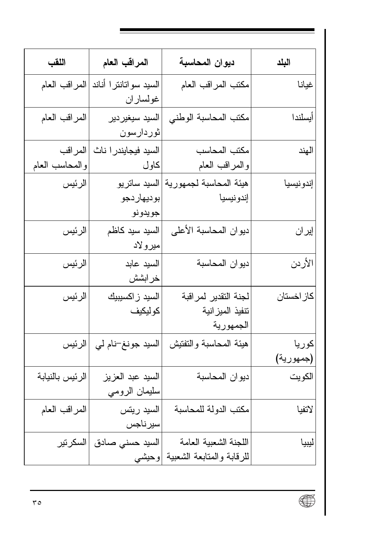| اللقب                     | المراقب العام                          | ديوان المحاسبة                                        | البلد              |
|---------------------------|----------------------------------------|-------------------------------------------------------|--------------------|
| المراقب العام             | السيد سواتانترا أناند<br>غولساران      | مكتب المراقب العام                                    | غيانا              |
| المراقب العام             | السيد سيغيردير<br>ثوردارسون            | مكتب المحاسبة الوطني                                  | أيسلندا            |
| المراقب<br>والمحاسب العام | السيد فيجايندر ا ناث<br>كاول           | مكتب المحاسب<br>والمراقب العام                        | الهند              |
| الرئيس                    | السيد ساتريو<br>بوديهار دجو<br>جويدونو | هيئة المحاسبة لجمهورية<br>إندونيسيا                   | إندونيسيا          |
| الرئيس                    | السيد سيد كاظم<br>میر و لاد            | ديوان المحاسبة الأعلى                                 | إيران              |
| الرئيس                    | السيد عابد<br>خر ابشش                  | ديوان المحاسبة                                        | الأردن             |
| الرئيس                    | السيد ز اكسيبيك<br>كوليكيف             | لجنة التقدير لمراقبة<br>تنفيذ الميز انية<br>الجمهورية | كاز اخستان         |
| الرئيس                    | السيد جونغ–نام لي                      | هيئة المحاسبة والنفتيش                                | كوريا<br>(جمهورية) |
| الرئيس بالنيابة           | السيد عبد العزيز<br>سليمان الرومي      | ديوان المحاسبة                                        | الكويت             |
| المراقب العام             | السيد ريتس<br>سيرناجس                  | مكتب الدولة للمحاسبة                                  | لاتفيا             |
| السكرتير                  | السيد حسني صادق<br>وحيشى               | اللجنة الشعبية العامة<br>للرقابة والمتابعة الشعبية    | ليبيا              |

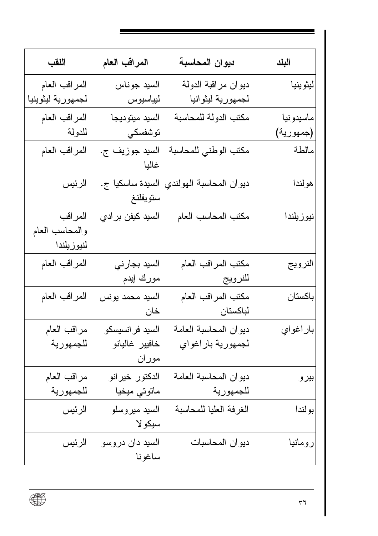| اللقب             | المراقب العام                | ديوان المحاسبة          | البلد     |
|-------------------|------------------------------|-------------------------|-----------|
| المراقب العام     | السيد جوناس                  | ديوان مراقبة الدولة     | ليثوينيا  |
| لجمهورية ليثوينيا | ليياسيوس                     | لجمهورية ليثوانيا       |           |
| المراقب العام     | السيد ميتوديجا               | مكتب الدولة للمحاسبة    | ماسيدونيا |
| للدولة            | توشفسكي                      |                         | (جمهورية) |
| المراقب العام     | السيد جوزيف ج.<br>غاليا      | مكتب الوطني للمحاسبة    | مالطة     |
| الرئيس            | السيدة ساسكيا ج.<br>ستويفلنغ | ديوان المحاسبة الهولندي | هولندا    |
| المر اقب          | السيد كيفن برادي             | مكتب المحاسب العام      | نيوزيلندا |
| والمحاسب العام    |                              |                         |           |
| لنيوزيلندا        |                              |                         |           |
| المراقب العام     | السيد بجارني                 | مكتب المراقب العام      | النرويج   |
|                   | مورك إيدم                    | للنرويج                 |           |
| المراقب العام     | السيد محمد يونس              | مكتب المراقب العام      | باكستان   |
|                   | خان                          | لباكستان                |           |
| مراقب العام       | السيد فرانسيسكو              | ديوان المحاسبة العامة   | باراغواي  |
| للجمهورية         | خافيير غاليانو               | لجمهورية باراغواي       |           |
|                   | موران                        |                         |           |
| مراقب العام       | الدكتور خيرانو               | ديوان المحاسبة العامة   | بيرو      |
| للجمهورية         | ماتوتي ميخيا                 | للجمهورية               |           |
| الرئيس            | السيد ميروسلو                | الغرفة العليا للمحاسبة  | بولندا    |
|                   | سيكو لا                      |                         |           |
| الرئيس            | السيد دان دروسو              | ديوان المحاسبات         | رومانيا   |
|                   | ساغونا                       |                         |           |

 $\overline{\bigoplus}$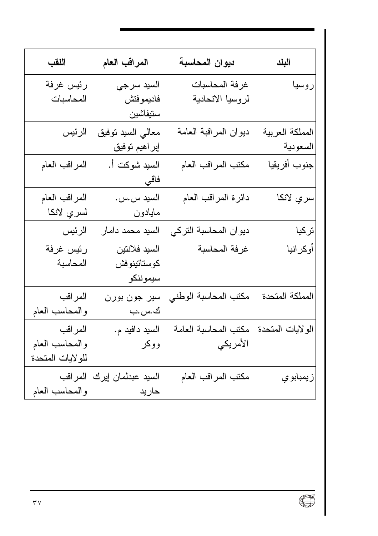| اللقب             | المراقب العام      | ديوان المحاسبة        | البلد            |
|-------------------|--------------------|-----------------------|------------------|
| رئيس غرفة         | السيد سرجي         | غرفة المحاسبات        | روسيا            |
| المحاسبات         | فاديموفتش          | لروسيا الاتحادية      |                  |
|                   | ستيفاشين           |                       |                  |
| الرئيس            | معالي السيد نوفيق  | ديوان المراقبة العامة | المملكة العربية  |
|                   | إبراهيم توفيق      |                       | السعودية         |
| المراقب العام     | السيد شوكت أ.      | مكتب المراقب العام    | جنوب أفريقيا     |
|                   | فاقي               |                       |                  |
| المراقب العام     | السيد س.س.         | دائرة المراقب العام   | سري لانكا        |
| لسري لانكا        | مايادون            |                       |                  |
| الرئيس            | السيد محمد دامار   | ديوان المحاسبة التركي | تركيا            |
| رئيس غرفة         | السيد فلانتين      | غرفة المحاسبة         | أوكرانيا         |
| المحاسبة          | كوستاتينوفش        |                       |                  |
|                   | سيموننكو           |                       |                  |
| المراقب           | سير جون بورن       | مكتب المحاسبة الوطني  | لمملكة المتحدة   |
| والمحاسب العام    | ك.س.ب              |                       |                  |
| المر اقب          | السيد دافيد م.     | مكتب المحاسبة العامة  | الولايات المتحدة |
| والمحاسب العام    | ووكر               | الأمريكي              |                  |
| للو لايات المتحدة |                    |                       |                  |
| المراقب           | السيد عبدلمان إيرك | مكتب المراقب العام    | زيمبابو ي        |
| والمحاسب العام    | حاريد              |                       |                  |